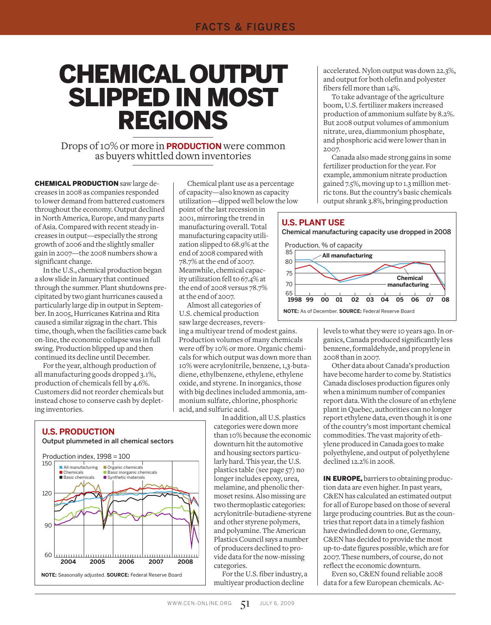# Chemical Output Slipped In Most Regions

Drops of 10% or more in **production** were common as buyers whittled down inventories

**CHEMICAL PRODUCTION** saw large decreases in 2008 as companies responded to lower demand from battered customers throughout the economy. Output declined in North America, Europe, and many parts of Asia. Compared with recent steady increases in output—especially the strong growth of 2006 and the slightly smaller gain in 2007—the 2008 numbers show a significant change.

In the U.S., chemical production began a slow slide in January that continued through the summer. Plant shutdowns precipitated by two giant hurricanes caused a particularly large dip in output in September. In 2005, Hurricanes Katrina and Rita caused a similar zigzag in the chart. This time, though, when the facilities came back on-line, the economic collapse was in full swing. Production blipped up and then continued its decline until December.

For the year, although production of all manufacturing goods dropped 3.1%, production of chemicals fell by 4.6%. Customers did not reorder chemicals but instead chose to conserve cash by depleting inventories.

Chemical plant use as a percentage of capacity—also known as capacity utilization—dipped well below the low

point of the last recession in 2001, mirroring the trend in manufacturing overall. Total manufacturing capacity utilization slipped to 68.9% at the end of 2008 compared with 78.7% at the end of 2007. Meanwhile, chemical capacity utilization fell to 67.4% at the end of 2008 versus 78.7% at the end of 2007.

Almost all categories of U.S. chemical production saw large decreases, revers-

ing a multiyear trend of modest gains. Production volumes of many chemicals were off by 10% or more. Organic chemicals for which output was down more than 10% were acrylonitrile, benzene, 1,3-butadiene, ethylbenzene, ethylene, ethylene oxide, and styrene. In inorganics, those with big declines included ammonia, ammonium sulfate, chlorine, phosphoric acid, and sulfuric acid.

> In addition, all U.S. plastics categories were down more than 10% because the economic downturn hit the automotive and housing sectors particularly hard. This year, the U.S. plastics table (see page 57) no longer includes epoxy, urea, melamine, and phenolic thermoset resins. Also missing are two thermoplastic categories: acrylonitrile-butadiene-styrene and other styrene polymers, and polyamine. The American Plastics Council says a number of producers declined to provide data for the now-missing categories.

For the U.S. fiber industry, a multiyear production decline

accelerated. Nylon output was down 22.3%, and output for both olefin and polyester fibers fell more than 14%.

To take advantage of the agriculture boom, U.S. fertilizer makers increased production of ammonium sulfate by 8.2%. But 2008 output volumes of ammonium nitrate, urea, diammonium phosphate, and phosphoric acid were lower than in 2007.

Canada also made strong gains in some fertilizer production for the year. For example, ammonium nitrate production gained 7.5%, moving up to 1.3 million metric tons. But the country's basic chemicals output shrank 3.8%, bringing production



levels to what they were 10 years ago. In organics, Canada produced significantly less benzene, formaldehyde, and propylene in 2008 than in 2007.

Other data about Canada's production have become harder to come by. Statistics Canada discloses production figures only when a minimum number of companies report data. With the closure of an ethylene plant in Quebec, authorities can no longer report ethylene data, even though it is one of the country's most important chemical commodities. The vast majority of ethylene produced in Canada goes to make polyethylene, and output of polyethylene declined 12.2% in 2008.

IN EUROPE, barriers to obtaining production data are even higher. In past years, C&EN has calculated an estimated output for all of Europe based on those of several large producing countries. But as the countries that report data in a timely fashion have dwindled down to one, Germany, C&EN has decided to provide the most up-to-date figures possible, which are for 2007. These numbers, of course, do not reflect the economic downturn.

Even so, C&EN found reliable 2008 data for a few European chemicals. Ac-

# **U.S. Production**

Output plummeted in all chemical sectors

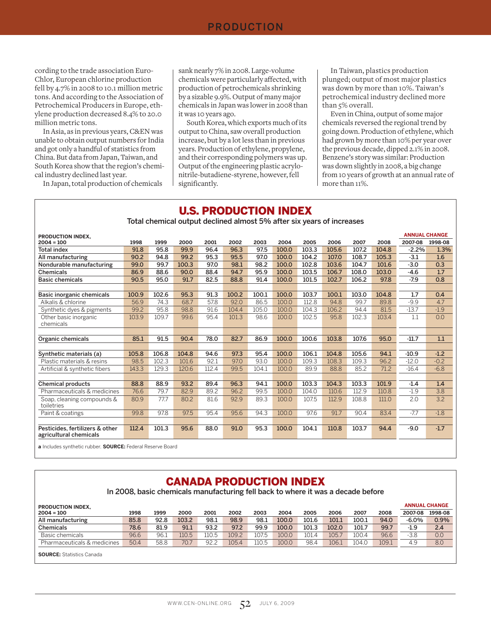#### production

cording to the trade association Euro-Chlor, European chlorine production fell by 4.7% in 2008 to 10.1 million metric tons. And according to the Association of Petrochemical Producers in Europe, ethylene production decreased 8.4% to 20.0 million metric tons.

In Asia, as in previous years, C&EN was unable to obtain output numbers for India and got only a handful of statistics from China. But data from Japan, Taiwan, and South Korea show that the region's chemical industry declined last year.

In Japan, total production of chemicals

sank nearly 7% in 2008. Large-volume chemicals were particularly affected, with production of petrochemicals shrinking by a sizable 9.9%. Output of many major chemicals in Japan was lower in 2008 than it was 10 years ago.

South Korea, which exports much of its output to China, saw overall production increase, but by a lot less than in previous years. Production of ethylene, propylene, and their corresponding polymers was up. Output of the engineering plastic acrylonitrile-butadiene-styrene, however, fell significantly.

In Taiwan, plastics production plunged; output of most major plastics was down by more than 10%. Taiwan's petrochemical industry declined more than 5% overall.

Even in China, output of some major chemicals reversed the regional trend by going down. Production of ethylene, which had grown by more than 10% per year over the previous decade, dipped 2.1% in 2008. Benzene's story was similar: Production was down slightly in 2008, a big change from 10 years of growth at an annual rate of more than 11%.

# U.S. PRODUCTION INDEX

Total chemical output declined almost 5% after six years of increases

| <b>PRODUCTION INDEX.</b>                                          |       |       |       |       |       |       |       |       |       |       |       | <b>ANNUAL CHANGE</b> |         |
|-------------------------------------------------------------------|-------|-------|-------|-------|-------|-------|-------|-------|-------|-------|-------|----------------------|---------|
| $2004 = 100$                                                      | 1998  | 1999  | 2000  | 2001  | 2002  | 2003  | 2004  | 2005  | 2006  | 2007  | 2008  | 2007-08              | 1998-08 |
| <b>Total index</b>                                                | 91.8  | 95.8  | 99.9  | 96.4  | 96.3  | 97.5  | 100.0 | 103.3 | 105.6 | 107.2 | 104.8 | $-2.2%$              | 1.3%    |
| All manufacturing                                                 | 90.2  | 94.8  | 99.2  | 95.3  | 95.5  | 97.0  | 100.0 | 104.2 | 107.0 | 108.7 | 105.3 | $-3.1$               | 1.6     |
| Nondurable manufacturing                                          | 99.0  | 99.7  | 100.3 | 97.0  | 98.1  | 98.2  | 100.0 | 102.8 | 103.6 | 104.7 | 101.6 | $-3.0$               | 0.3     |
| <b>Chemicals</b>                                                  | 86.9  | 88.6  | 90.0  | 88.4  | 94.7  | 95.9  | 100.0 | 103.5 | 106.7 | 108.0 | 103.0 | -4.6                 | 1.7     |
| <b>Basic chemicals</b>                                            | 90.5  | 95.0  | 91.7  | 82.5  | 88.8  | 91.4  | 100.0 | 101.5 | 102.7 | 106.2 | 97.8  | $-7.9$               | 0.8     |
|                                                                   |       |       |       |       |       |       |       |       |       |       |       |                      |         |
| Basic inorganic chemicals                                         | 100.9 | 102.6 | 95.3  | 91.3  | 100.2 | 100.1 | 100.0 | 103.7 | 100.1 | 103.0 | 104.8 | 1.7                  | 0.4     |
| Alkalis & chlorine                                                | 56.9  | 74.3  | 68.7  | 57.8  | 92.0  | 86.5  | 100.0 | 112.8 | 94.8  | 99.7  | 89.8  | $-9.9$               | 4.7     |
| Synthetic dyes & pigments                                         | 99.2  | 95.8  | 98.8  | 91.6  | 104.4 | 105.0 | 100.0 | 104.3 | 106.2 | 94.4  | 81.5  | $-13.7$              | $-1.9$  |
| Other basic inorganic<br>chemicals                                | 103.9 | 109.7 | 99.6  | 95.4  | 101.3 | 98.6  | 100.0 | 102.5 | 95.8  | 102.3 | 103.4 | 1.1                  | 0.0     |
|                                                                   |       |       |       |       |       |       |       |       |       |       |       |                      |         |
| Organic chemicals                                                 | 85.1  | 91.5  | 90.4  | 78.0  | 82.7  | 86.9  | 100.0 | 100.6 | 103.8 | 107.6 | 95.0  | $-11.7$              | 1.1     |
|                                                                   |       |       |       |       |       |       |       |       |       |       |       |                      |         |
| Synthetic materials (a)                                           | 105.8 | 106.8 | 104.8 | 94.6  | 97.3  | 95.4  | 100.0 | 106.1 | 104.8 | 105.6 | 94.1  | $-10.9$              | $-1.2$  |
| Plastic materials & resins                                        | 98.5  | 102.3 | 101.6 | 92.1  | 97.0  | 93.0  | 100.0 | 109.3 | 108.3 | 109.3 | 96.2  | $-12.0$              | $-0.2$  |
| Artificial & synthetic fibers                                     | 143.3 | 129.3 | 120.6 | 112.4 | 99.5  | 104.1 | 100.0 | 89.9  | 88.8  | 85.2  | 71.2  | $-16.4$              | $-6.8$  |
|                                                                   |       |       |       |       |       |       |       |       |       |       |       |                      |         |
| <b>Chemical products</b>                                          | 88.8  | 88.9  | 93.2  | 89.4  | 96.3  | 94.1  | 100.0 | 103.3 | 104.3 | 103.3 | 101.9 | $-1.4$               | 1.4     |
| Pharmaceuticals & medicines                                       | 76.6  | 79.7  | 82.9  | 89.2  | 96.2  | 99.5  | 100.0 | 104.0 | 110.6 | 112.9 | 110.8 | $-1.9$               | 3.8     |
| Soap, cleaning compounds &<br>toiletries                          | 80.9  | 77.7  | 80.2  | 81.6  | 92.9  | 89.3  | 100.0 | 107.5 | 112.9 | 108.8 | 111.0 | 2.0                  | 3.2     |
| Paint & coatings                                                  | 99.8  | 97.8  | 97.5  | 95.4  | 95.6  | 94.3  | 100.0 | 97.6  | 91.7  | 90.4  | 83.4  | $-7.7$               | $-1.8$  |
|                                                                   |       |       |       |       |       |       |       |       |       |       |       |                      |         |
| Pesticides, fertilizers & other<br>agricultural chemicals         | 112.4 | 101.3 | 95.6  | 88.0  | 91.0  | 95.3  | 100.0 | 104.1 | 110.8 | 103.7 | 94.4  | $-9.0$               | $-1.7$  |
| a Includes synthetic rubber <b>SOLIPCE:</b> Federal Reserve Roard |       |       |       |       |       |       |       |       |       |       |       |                      |         |

**a** Includes synthetic rubber. **SOURCE:** Federal Reserve Board

#### CANADA PRODUCTION INDEX

In 2008, basic chemicals manufacturing fell back to where it was a decade before

| <b>PRODUCTION INDEX.</b>         |      |      |       |       |       |       |       |       |       |       |       |         | <b>ANNUAL CHANGE</b> |
|----------------------------------|------|------|-------|-------|-------|-------|-------|-------|-------|-------|-------|---------|----------------------|
| $2004 = 100$                     | 1998 | 1999 | 2000  | 2001  | 2002  | 2003  | 2004  | 2005  | 2006  | 2007  | 2008  | 2007-08 | 1998-08              |
| All manufacturing                | 85.8 | 92.8 | 103.2 | 98.1  | 98.9  | 98.1  | 100.0 | 101.6 | 101.1 | 100.1 | 94.0  | -6.0%   | 0.9%                 |
| <b>Chemicals</b>                 | 78.6 | 81.9 | 91.1  | 93.2  | 97.2  | 99.9  | 100.0 | 101.3 | 102.0 | 101.7 | 99.7  | $-1.9$  | 2.4                  |
| Basic chemicals                  | 96.6 | 96.1 | 110.5 | 110.5 | 109.2 | 107.5 | 100.0 | 101.4 | 105.7 | 100.4 | 96.6  | $-3.8$  | 0.0                  |
| Pharmaceuticals & medicines      | 50.4 | 58.8 | 70.7  | 92.2  | 105.4 | 110.5 | 100.0 | 98.4  | 106.1 | 104.0 | 109.1 | 4.9     | 8.0                  |
| <b>SOURCE:</b> Statistics Canada |      |      |       |       |       |       |       |       |       |       |       |         |                      |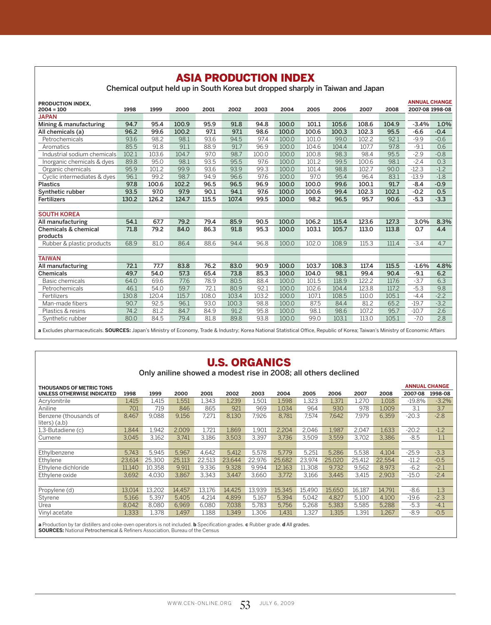# ASIA PRODUCTION INDEX

Chemical output held up in South Korea but dropped sharply in Taiwan and Japan

| <b>PRODUCTION INDEX.</b>        |       |       |       |       |       |       |       |       |       |       |       | <b>ANNUAL CHANGE</b> |        |
|---------------------------------|-------|-------|-------|-------|-------|-------|-------|-------|-------|-------|-------|----------------------|--------|
| $2004 = 100$                    | 1998  | 1999  | 2000  | 2001  | 2002  | 2003  | 2004  | 2005  | 2006  | 2007  | 2008  | 2007-08 1998-08      |        |
| <b>JAPAN</b>                    |       |       |       |       |       |       |       |       |       |       |       |                      |        |
| Mining & manufacturing          | 94.7  | 95.4  | 100.9 | 95.9  | 91.8  | 94.8  | 100.0 | 101.1 | 105.6 | 108.6 | 104.9 | $-3.4%$              | 1.0%   |
| All chemicals (a)               | 96.2  | 99.6  | 100.2 | 97.1  | 97.1  | 98.6  | 100.0 | 100.6 | 100.3 | 102.3 | 95.5  | $-6.6$               | $-0.4$ |
| Petrochemicals                  | 93.6  | 98.2  | 98.1  | 93.6  | 94.5  | 97.4  | 100.0 | 101.0 | 99.0  | 102.2 | 92.1  | $-9.9$               | $-0.6$ |
| Aromatics                       | 85.5  | 91.8  | 91.1  | 88.9  | 91.7  | 96.9  | 100.0 | 104.6 | 104.4 | 107.7 | 97.8  | $-9.1$               | 0.6    |
| Industrial sodium chemicals     | 102.1 | 103.6 | 104.7 | 97.0  | 98.7  | 100.0 | 100.0 | 100.8 | 98.3  | 98.4  | 95.5  | $-2.9$               | $-0.8$ |
| Inorganic chemicals & dyes      | 89.8  | 95.0  | 98.1  | 93.5  | 95.5  | 97.6  | 100.0 | 101.2 | 99.5  | 100.6 | 98.1  | $-2.4$               | 0.3    |
| Organic chemicals               | 95.9  | 101.2 | 99.9  | 93.6  | 93.9  | 99.3  | 100.0 | 101.4 | 98.8  | 102.7 | 90.0  | $-12.3$              | $-1.2$ |
| Cyclic intermediates & dyes     | 96.1  | 99.2  | 98.7  | 94.9  | 96.6  | 97.6  | 100.0 | 97.0  | 95.4  | 96.4  | 83.1  | $-13.9$              | $-1.8$ |
| <b>Plastics</b>                 | 97.8  | 100.6 | 102.2 | 96.5  | 96.5  | 96.9  | 100.0 | 100.0 | 99.6  | 100.1 | 91.7  | $-8.4$               | $-0.9$ |
| Synthetic rubber                | 93.5  | 97.0  | 97.9  | 90.1  | 94.1  | 97.6  | 100.0 | 100.6 | 99.4  | 102.3 | 102.1 | $-0.2$               | 0.5    |
| <b>Fertilizers</b>              | 130.2 | 126.2 | 124.7 | 115.5 | 107.4 | 99.5  | 100.0 | 98.2  | 96.5  | 95.7  | 90.6  | $-5.3$               | $-3.3$ |
|                                 |       |       |       |       |       |       |       |       |       |       |       |                      |        |
| <b>SOUTH KOREA</b>              |       |       |       |       |       |       |       |       |       |       |       |                      |        |
| All manufacturing               | 54.1  | 67.7  | 79.2  | 79.4  | 85.9  | 90.5  | 100.0 | 106.2 | 115.4 | 123.6 | 127.3 | 3.0%                 | 8.3%   |
| <b>Chemicals &amp; chemical</b> | 71.8  | 79.2  | 84.0  | 86.3  | 91.8  | 95.3  | 100.0 | 103.1 | 105.7 | 113.0 | 113.8 | 0.7                  | 4.4    |
| products                        |       |       |       |       |       |       |       |       |       |       |       |                      |        |
| Rubber & plastic products       | 68.9  | 81.0  | 86.4  | 88.6  | 94.4  | 96.8  | 100.0 | 102.0 | 108.9 | 115.3 | 111.4 | $-3.4$               | 4.7    |
|                                 |       |       |       |       |       |       |       |       |       |       |       |                      |        |
| <b>TAIWAN</b>                   |       |       |       |       |       |       |       |       |       |       |       |                      |        |
| All manufacturing               | 72.1  | 77.7  | 83.8  | 76.2  | 83.0  | 90.9  | 100.0 | 103.7 | 108.3 | 117.4 | 115.5 | $-1.6%$              | 4.8%   |
| <b>Chemicals</b>                | 49.7  | 54.0  | 57.3  | 65.4  | 73.8  | 85.3  | 100.0 | 104.0 | 98.1  | 99.4  | 90.4  | $-9.1$               | 6.2    |
| Basic chemicals                 | 64.0  | 69.6  | 77.6  | 78.9  | 80.5  | 88.4  | 100.0 | 101.5 | 118.9 | 122.2 | 117.6 | $-3.7$               | 6.3    |
| Petrochemicals                  | 46.1  | 54.0  | 59.7  | 72.1  | 80.9  | 92.1  | 100.0 | 102.6 | 104.4 | 123.8 | 117.2 | $-5.3$               | 9.8    |
| Fertilizers                     | 130.8 | 120.4 | 115.7 | 108.0 | 103.4 | 103.2 | 100.0 | 107.1 | 108.5 | 110.0 | 105.1 | $-4.4$               | $-2.2$ |
| Man-made fibers                 | 90.7  | 92.5  | 96.1  | 93.0  | 100.3 | 98.8  | 100.0 | 87.5  | 84.4  | 81.2  | 65.2  | $-19.7$              | $-3.2$ |
| Plastics & resins               | 74.2  | 81.2  | 84.7  | 84.9  | 91.2  | 95.8  | 100.0 | 98.1  | 98.6  | 107.2 | 95.7  | $-10.7$              | 2.6    |
| Synthetic rubber                | 80.0  | 84.5  | 79.4  | 81.8  | 89.8  | 93.8  | 100.0 | 99.0  | 103.1 | 113.0 | 105.1 | $-7.0$               | 2.8    |

**a** Excludes pharmaceuticals. **SOURCES:** Japan's Ministry of Economy, Trade & Industry; Korea National Statistical Office, Republic of Korea; Taiwan's Ministry of Economic Affairs

# U.S. ORGANICS

Only aniline showed a modest rise in 2008; all others declined

| <b>THOUSANDS OF METRIC TONS</b>          |        |        |        |        |        |        |        |        |        |        |        |          | <b>ANNUAL CHANGE</b> |
|------------------------------------------|--------|--------|--------|--------|--------|--------|--------|--------|--------|--------|--------|----------|----------------------|
| UNLESS OTHERWISE INDICATED               | 1998   | 1999   | 2000   | 2001   | 2002   | 2003   | 2004   | 2005   | 2006   | 2007   | 2008   | 2007-08  | 1998-08              |
| Acrylonitrile                            | 1,415  | 1,415  | 1,551  | 1,343  | 1,239  | 1,501  | 1,598  | 1,323  | 1,371  | 1.270  | 1,018  | $-19.8%$ | $-3.2%$              |
| Aniline                                  | 701    | 719    | 846    | 865    | 921    | 969    | 1.034  | 964    | 930    | 978    | 1,009  | 3.1      | 3.7                  |
| Benzene (thousands of<br>$liters)$ (a,b) | 8,467  | 9.088  | 9,156  | 7,271  | 8,130  | 7.926  | 8.781  | 7.574  | 7.642  | 7.979  | 6,359  | $-20.3$  | $-2.8$               |
| 1,3-Butadiene (c)                        | 1,844  | 1,942  | 2,009  | 1,721  | 1,869  | 1,901  | 2,204  | 2,046  | 1,987  | 2,047  | 1,633  | $-20.2$  | $-1.2$               |
| Cumene                                   | 3.045  | 3.162  | 3.741  | 3.186  | 3.503  | 3.397  | 3.736  | 3.509  | 3.559  | 3.702  | 3.386  | $-8.5$   | 1.1                  |
|                                          |        |        |        |        |        |        |        |        |        |        |        |          |                      |
| Ethylbenzene                             | 5.743  | 5.945  | 5.967  | 4.642  | 5.412  | 5.578  | 5.779  | 5,251  | 5.286  | 5.538  | 4.104  | $-25.9$  | $-3.3$               |
| Ethylene                                 | 23.614 | 25.300 | 25,113 | 22.513 | 23.644 | 22.976 | 25.682 | 23.974 | 25.020 | 25.412 | 22.554 | $-11.2$  | $-0.5$               |
| Ethylene dichloride                      | 11,140 | 10,358 | 9,911  | 9,336  | 9,328  | 9,994  | 12,163 | 11,308 | 9,732  | 9,562  | 8,973  | $-6.2$   | $-2.1$               |
| Ethylene oxide                           | 3.692  | 4.030  | 3.867  | 3.343  | 3.447  | 3.660  | 3.772  | 3,166  | 3.445  | 3.415  | 2.903  | $-15.0$  | $-2.4$               |
|                                          |        |        |        |        |        |        |        |        |        |        |        |          |                      |
| Propylene (d)                            | 13,014 | 13,202 | 14,457 | 13,176 | 14,425 | 13,939 | 15,345 | 15.490 | 15.650 | 16,187 | 14,791 | $-8.6$   | 1.3                  |
| Styrene                                  | 5,166  | 5.397  | 5.405  | 4.214  | 4.899  | 5,167  | 5.394  | 5,042  | 4.827  | 5,100  | 4.100  | $-19.6$  | $-2.3$               |
| Urea                                     | 8,042  | 8,080  | 6.969  | 6,080  | 7,038  | 5,783  | 5.756  | 5,268  | 5,383  | 5,585  | 5,288  | $-5.3$   | $-4.1$               |
| Vinyl acetate                            | 1,333  | 1,378  | 1,497  | 1,188  | 1,349  | 1,306  | 1,431  | 1,327  | 1,315  | 1,391  | 1,267  | $-8.9$   | $-0.5$               |

**a** Production by tar distillers and coke-oven operators is not included. **b** Specification grades. **c** Rubber grade. **d** All grades.<br>**SOURCES:** National Petrochemical & Refiners Association, Bureau of the Census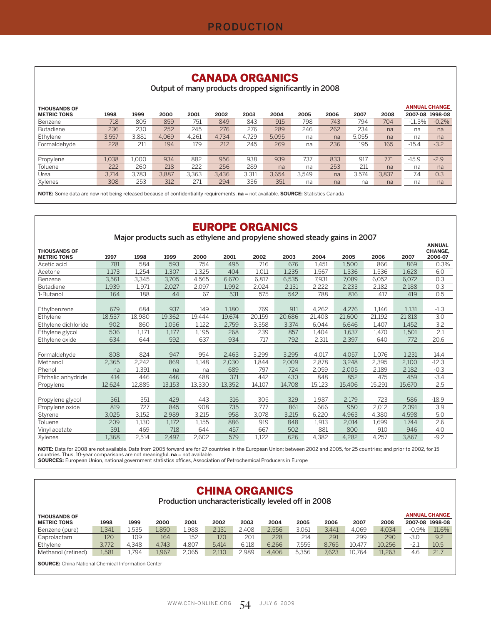#### CANADA ORGANICS

Output of many products dropped significantly in 2008

| <b>THOUSANDS OF</b> |       |       |       |       |       |       |       |       |      |       |       | <b>ANNUAL CHANGE</b> |         |
|---------------------|-------|-------|-------|-------|-------|-------|-------|-------|------|-------|-------|----------------------|---------|
| <b>METRIC TONS</b>  | 1998  | 1999  | 2000  | 2001  | 2002  | 2003  | 2004  | 2005  | 2006 | 2007  | 2008  | 2007-08              | 1998-08 |
| Benzene             | 718   | 805   | 859   | 751   | 849   | 843   | 915   | 798   | 743  | 794   | 704   | $-11.3%$             | $-0.2%$ |
| <b>Butadiene</b>    | 236   | 230   | 252   | 245   | 276   | 276   | 289   | 246   | 262  | 234   | na    | na                   | na      |
| Ethylene            | 3.557 | 3.881 | 4.069 | 4.261 | 4.734 | 4.729 | 5.095 | na    | na   | 5.055 | na    | na                   | na      |
| Formaldehyde        | 228   | 211   | 194   | 179   | 212   | 245   | 269   | na    | 236  | 195   | 165   | $-15.4$              | $-3.2$  |
|                     |       |       |       |       |       |       |       |       |      |       |       |                      |         |
| Propylene           | 1.038 | l.000 | 934   | 882   | 956   | 938   | 939   | 737   | 833  | 917   | 771   | $-15.9$              | $-2.9$  |
| Toluene             | 222   | 260   | 218   | 222   | 256   | 289   | na    | na    | 253  | 211   | na    | na                   | na      |
| Urea                | 3.714 | 3.783 | 3.887 | 3.363 | 3.436 | 3.311 | 3.654 | 3.549 | na   | 3.574 | 3.837 | 7.4                  | 0.3     |
| Xylenes             | 308   | 253   | 312   | 271   | 294   | 336   | 351   | na    | na   | na    | na    | na                   | na      |

**NOTE:** Some data are now not being released because of confidentiality requirements. **na** = not available. **SOURCE:** Statistics Canada

## EUROPE ORGANICS

Major products such as ethylene and propylene showed steady gains in 2007

| <b>THOUSANDS OF</b> |        |        |        |        |        |        |        |        |        |        |        | <b>ANNUAL</b><br><b>CHANGE.</b> |
|---------------------|--------|--------|--------|--------|--------|--------|--------|--------|--------|--------|--------|---------------------------------|
| <b>METRIC TONS</b>  | 1997   | 1998   | 1999   | 2000   | 2001   | 2002   | 2003   | 2004   | 2005   | 2006   | 2007   | 2006-07                         |
| Acetic acid         | 781    | 584    | 593    | 754    | 495    | 716    | 676    | 1,451  | 1,500  | 866    | 869    | 0.3%                            |
| Acetone             | 1,173  | 1,254  | 1,307  | 1,325  | 404    | 1,011  | 1,235  | 1,567  | 1,336  | 1,536  | 1,628  | 6.0                             |
| Benzene             | 3,561  | 3,345  | 3,705  | 4,565  | 6,670  | 6,817  | 6,535  | 7,931  | 7,089  | 6,052  | 6,072  | 0.3                             |
| <b>Butadiene</b>    | 1,939  | 1,971  | 2,027  | 2,097  | 1,992  | 2,024  | 2,131  | 2,222  | 2,233  | 2,182  | 2,188  | 0.3                             |
| 1-Butanol           | 164    | 188    | 44     | 67     | 531    | 575    | 542    | 788    | 816    | 417    | 419    | 0.5                             |
|                     |        |        |        |        |        |        |        |        |        |        |        |                                 |
| Ethylbenzene        | 679    | 684    | 937    | 149    | 1,180  | 769    | 911    | 4,262  | 4,276  | 1,146  | 1,131  | $-1.3$                          |
| Ethylene            | 18,537 | 18,980 | 19,362 | 19,444 | 19,674 | 20,159 | 20,686 | 21,408 | 21,600 | 21,192 | 21,818 | 3.0                             |
| Ethylene dichloride | 902    | 860    | 1,056  | 1.122  | 2,759  | 3,358  | 3,374  | 6,044  | 6.646  | 1.407  | 1,452  | 3.2                             |
| Ethylene glycol     | 506    | 1,171  | 1,177  | 1,195  | 268    | 239    | 857    | 1,404  | 1,637  | 1,470  | 1,501  | 2.1                             |
| Ethylene oxide      | 634    | 644    | 592    | 637    | 934    | 717    | 792    | 2,311  | 2,397  | 640    | 772    | 20.6                            |
|                     |        |        |        |        |        |        |        |        |        |        |        |                                 |
| Formaldehyde        | 808    | 824    | 947    | 954    | 2,463  | 3,299  | 3.295  | 4,017  | 4,057  | 1,076  | 1,231  | 14.4                            |
| Methanol            | 2,365  | 2,242  | 869    | 1,148  | 2,030  | 1,844  | 2,009  | 2,878  | 3,248  | 2,395  | 2,100  | $-12.3$                         |
| Phenol              | na     | 1,391  | na     | na     | 689    | 797    | 724    | 2,059  | 2,005  | 2,189  | 2,182  | $-0.3$                          |
| Phthalic anhydride  | 414    | 446    | 446    | 488    | 371    | 442    | 430    | 848    | 852    | 475    | 459    | $-3.4$                          |
| Propylene           | 12,624 | 12,885 | 13,153 | 13,330 | 13,352 | 14,107 | 14,708 | 15,123 | 15,406 | 15,291 | 15,670 | 2.5                             |
|                     |        |        |        |        |        |        |        |        |        |        |        |                                 |
| Propylene glycol    | 361    | 351    | 429    | 443    | 316    | 305    | 329    | 1,987  | 2,179  | 723    | 586    | $-18.9$                         |
| Propylene oxide     | 819    | 727    | 845    | 908    | 735    | 777    | 861    | 666    | 950    | 2,012  | 2,091  | 3.9                             |
| Styrene             | 3,025  | 3,152  | 2,989  | 3,215  | 958    | 3,078  | 3,215  | 6,220  | 4,963  | 4,380  | 4,598  | 5.0                             |
| Toluene             | 209    | 1,130  | 1.172  | 1.155  | 886    | 919    | 848    | 1,913  | 2,014  | 1,699  | 1,744  | 2.6                             |
| Vinyl acetate       | 391    | 469    | 718    | 644    | 457    | 667    | 502    | 881    | 800    | 910    | 946    | 4.0                             |
| Xylenes             | 1.368  | 2,514  | 2,497  | 2,602  | 579    | 1,122  | 626    | 4,382  | 4,282  | 4,257  | 3,867  | $-9.2$                          |

**NOTE:** Data for 2008 are not available. Data from 2005 forward are for 27 countries in the European Union; between 2002 and 2005, for 25 countries; and prior to 2002, for 15<br>countries. Thus, 10-year comparisons are not me

**SOURCES:** European Union, national government statistics offices, Association of Petrochemical Producers in Europe

#### CHINA ORGANICS

Production uncharacteristically leveled off in 2008

| <b>THOUSANDS OF</b> |       |       |       |       |       |       |       |       |       |        |        |         | <b>ANNUAL CHANGE</b> |
|---------------------|-------|-------|-------|-------|-------|-------|-------|-------|-------|--------|--------|---------|----------------------|
| <b>METRIC TONS</b>  | 1998  | 1999  | 2000  | 2001  | 2002  | 2003  | 2004  | 2005  | 2006  | 2007   | 2008   |         | 2007-08 1998-08      |
| Benzene (pure)      | 1,341 | 1.535 | 1,850 | 1.988 | 2.131 | 2.408 | 2.556 | 3.061 | 3.441 | 4.069  | 4.034  | $-0.9%$ | 11.6%                |
| Caprolactam         | 120   | 109   | 164   | 152   | 170   | 201   | 228   | 214   | 291   | 299    | 290    | $-3.0$  | 9.2                  |
| Ethylene            | 3.772 | .348  | 4.743 | 4.807 | 5.414 | 6.118 | 6.266 | 7.555 | 8.765 | 10.477 | 10.256 | $-2.1$  | 10.5                 |
| Methanol (refined)  | 1,581 | 794   | 1,967 | 2,065 | 2,110 | 2,989 | 4.406 | 5,356 | 7,623 | 10.764 | 11,263 | 4.6     | 21.7                 |
|                     |       |       |       |       |       |       |       |       |       |        |        |         |                      |

**SOURCE:** China National Chemical Information Center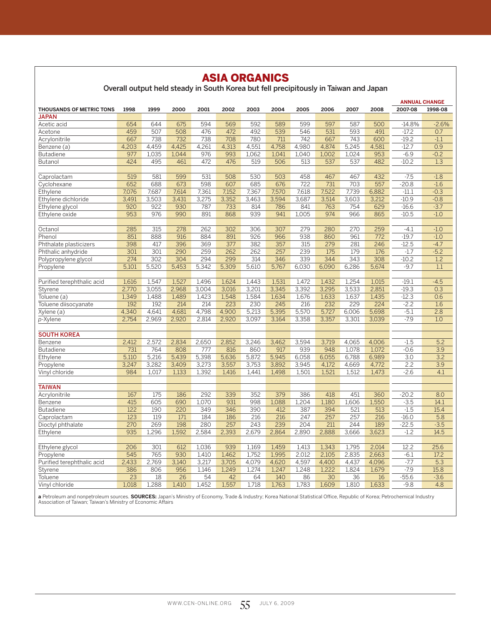# ASIA ORGANICS

Overall output held steady in South Korea but fell precipitously in Taiwan and Japan

| 2007-08<br>1998-08<br><b>THOUSANDS OF METRIC TONS</b><br>1998<br>1999<br>2000<br>2001<br>2002<br>2003<br>2004<br>2005<br>2006<br>2007<br>2008<br><b>JAPAN</b><br>594<br>569<br>592<br>589<br>597<br>587<br>654<br>644<br>675<br>599<br>500<br>$-14.8%$<br>$-2.6%$<br>Acetic acid<br>459<br>507<br>508<br>476<br>472<br>492<br>539<br>546<br>531<br>593<br>491<br>$-17.2$<br>Acetone<br>0.7<br>780<br>742<br>743<br>$-19.2$<br>667<br>738<br>732<br>738<br>708<br>711<br>667<br>600<br>$-1.1$<br>Acrylonitrile<br>4,459<br>4,425<br>4,261<br>4,313<br>4,551<br>4,758<br>4,980<br>4,874<br>5,245<br>4,581<br>$-12.7$<br>0.9<br>4,203<br>Benzene (a)<br>1,035<br>976<br>993<br>953<br>$-6.9$<br>$-0.2$<br>977<br>1,044<br>1.062<br>1,041<br>1,040<br>1.002<br>1,024<br><b>Butadiene</b><br>424<br>495<br>472<br>476<br>519<br>506<br>513<br>537<br>537<br>482<br>$-10.2$<br>1.3<br>Butanol<br>461<br>519<br>581<br>599<br>531<br>508<br>530<br>503<br>458<br>467<br>467<br>432<br>$-7.5$<br>$-1.8$<br>Caprolactam<br>$-20.8$<br>652<br>688<br>673<br>598<br>607<br>685<br>676<br>722<br>731<br>703<br>557<br>$-1.6$<br>Cyclohexane<br>7,570<br>7,076<br>7,687<br>7,614<br>7,361<br>7,152<br>7,367<br>7,618<br>7,522<br>7,739<br>6,882<br>$-11.1$<br>$-0.3$<br>Ethylene<br>3,491<br>3,503<br>3,431<br>3,275<br>3,352<br>3,463<br>3,594<br>3,687<br>3,514<br>3,603<br>3,212<br>$-10.9$<br>$-0.8$<br>Ethylene dichloride<br>920<br>922<br>930<br>787<br>733<br>814<br>786<br>841<br>763<br>754<br>629<br>$-16.6$<br>$-3.7$<br>Ethylene glycol<br>891<br>974<br>953<br>976<br>990<br>868<br>939<br>941<br>1,005<br>966<br>865<br>$-10.5$<br>$-1.0$<br>Ethylene oxide<br>$\overline{285}$<br>315<br>278<br>262<br>$\overline{302}$<br>306<br>307<br>279<br>280<br>270<br>259<br>$-1.0$<br>$-4.1$<br>Octanol<br>851<br>926<br>938<br>772<br>$-19.7$<br>Phenol<br>888<br>916<br>884<br>891<br>966<br>860<br>961<br>$-1.0$<br>398<br>396<br>377<br>382<br>357<br>315<br>279<br>281<br>246<br>$-12.5$<br>$-4.7$<br>Phthalate plasticizers<br>417<br>369<br>301<br>301<br>290<br>259<br>262<br>257<br>239<br>179<br>176<br>$-5.2$<br>262<br>175<br>$-1.7$<br>Phthalic anhydride<br>274<br>302<br>304<br>294<br>299<br>314<br>346<br>339<br>344<br>343<br>308<br>$-10.2$<br>1.2<br>Polypropylene glycol<br>5,520<br>5,453<br>5,342<br>5,309<br>5,767<br>6,030<br>6,090<br>6,286<br>5,674<br>$-9.7$<br>1.1<br>5,101<br>5,610<br>Propylene<br>1,616<br>1,547<br>1,527<br>1,496<br>1,624<br>1,531<br>1,472<br>1,432<br>1,254<br>1,015<br>$-19.1$<br>$-4.5$<br>Purified terephthalic acid<br>1,443<br>Styrene<br>2,770<br>3,055<br>2,968<br>3.004<br>3.016<br>3,201<br>3,345<br>3,392<br>3,295<br>3,533<br>2.851<br>$-19.3$<br>0.3<br>1,349<br>1,488<br>1,489<br>1,423<br>1,548<br>1,584<br>1,634<br>1,676<br>1,633<br>1,637<br>1,435<br>$-12.3$<br>0.6<br>Toluene (a)<br>214<br>214<br>245<br>232<br>229<br>224<br>192<br>192<br>223<br>230<br>216<br>$-2.2$<br>1.6<br>Toluene diisocyanate<br>4,340<br>4,641<br>4,681<br>4,798<br>4,900<br>5,213<br>5,395<br>5,570<br>5,727<br>6,006<br>5,698<br>$-5.1$<br>2.8<br>Xylene (a)<br>$-7.9$<br>2,754<br>2,969<br>2,920<br>2,814<br>2,920<br>3,097<br>3,164<br>3,358<br>3,357<br>3,301<br>3,039<br>1.0<br>p-Xylene<br><b>SOUTH KOREA</b><br>Benzene<br>2,412<br>2,572<br>2,834<br>2,650<br>2,852<br>3,246<br>3,462<br>3,594<br>3,719<br>4,065<br>4,006<br>$-1.5$<br>5.2<br>764<br>939<br>731<br>808<br>777<br>816<br>860<br>917<br>948<br>1,078<br>1,072<br>$-0.6$<br>3.9<br><b>Butadiene</b><br>5,216<br>5,398<br>5,636<br>5,945<br>$\overline{3.0}$<br>5,110<br>5,439<br>5,872<br>6,058<br>6,055<br>6,788<br>6,989<br>3.2<br>Ethylene<br>2.2<br>3.9<br>3,247<br>3,282<br>3,409<br>3,273<br>3,557<br>3,753<br>3,892<br>3,945<br>4,172<br>4,669<br>4,772<br>Propylene<br>1,521<br>1,473<br>984<br>1,017<br>1,133<br>1,392<br>1,416<br>1,441<br>1,498<br>1,501<br>1,512<br>$-2.6$<br>4.1<br>Vinyl chloride<br><b>TAIWAN</b><br>167<br>175<br>186<br>292<br>339<br>352<br>379<br>386<br>418<br>451<br>360<br>$-20.2$<br>8.0<br>Acrylonitrile<br>415<br>605<br>690<br>1.070<br>931<br>998<br>1,088<br>1,204<br>1,180<br>1,606<br>1,550<br>$-3.5$<br>14.1<br>Benzene<br>122<br>346<br>190<br>220<br>349<br>390<br>412<br>387<br>394<br>521<br>513<br>$-1.5$<br>15.4<br><b>Butadiene</b><br>216<br>123<br>119<br>171<br>184<br>186<br>216<br>247<br>257<br>257<br>216<br>$-16.0$<br>5.8<br>Caprolactam<br>270<br>269<br>198<br>280<br>257<br>243<br>239<br>204<br>211<br>244<br>189<br>$-22.5$<br>$-3.5$<br>Dioctyl phthalate<br>2,584<br>935<br>1,296<br>1,592<br>2,393<br>2,679<br>2,864<br>2,890<br>2,888<br>3,666<br>3,623<br>$-1.2$<br>14.5<br>Ethylene<br>206<br>301<br>612<br>1,036<br>939<br>1.169<br>1,459<br>1.413<br>1,343<br>1,795<br>2,014<br>12.2<br>25.6<br>Ethylene glycol<br>1,995<br>545<br>765<br>930<br>1,410<br>1,462<br>1,752<br>2,012<br>2,105<br>2,835<br>2,663<br>$-6.1$<br>17.2<br>Propylene<br>2,433<br>2,769<br>3,140<br>3,217<br>3,705<br>4,079<br>4,620<br>4,597<br>4,400<br>4,437<br>4,096<br>$-7.7$<br>5.3<br>Purified terephthalic acid<br>386<br>1,146<br>1,249<br>1,274<br>1,247<br>1,248<br>1,222<br>1,824<br>1,679<br>$-7.9$<br>15.8<br>806<br>956<br>Styrene<br>$\overline{23}$<br>54<br>42<br>64<br>30<br>36<br>18<br>26<br>140<br>86<br>16<br>$-55.6$<br>$-3.6$<br>Toluene<br>1,018<br>1,288<br>1,410<br>1,452<br>1,557<br>1,718<br>1,763<br>1,783<br>1,609<br>1,810<br>1,633<br>$-9.8$<br>4.8<br>Vinyl chloride |  |  |  |  |  |  | <b>ANNUAL CHANGE</b> |  |
|-------------------------------------------------------------------------------------------------------------------------------------------------------------------------------------------------------------------------------------------------------------------------------------------------------------------------------------------------------------------------------------------------------------------------------------------------------------------------------------------------------------------------------------------------------------------------------------------------------------------------------------------------------------------------------------------------------------------------------------------------------------------------------------------------------------------------------------------------------------------------------------------------------------------------------------------------------------------------------------------------------------------------------------------------------------------------------------------------------------------------------------------------------------------------------------------------------------------------------------------------------------------------------------------------------------------------------------------------------------------------------------------------------------------------------------------------------------------------------------------------------------------------------------------------------------------------------------------------------------------------------------------------------------------------------------------------------------------------------------------------------------------------------------------------------------------------------------------------------------------------------------------------------------------------------------------------------------------------------------------------------------------------------------------------------------------------------------------------------------------------------------------------------------------------------------------------------------------------------------------------------------------------------------------------------------------------------------------------------------------------------------------------------------------------------------------------------------------------------------------------------------------------------------------------------------------------------------------------------------------------------------------------------------------------------------------------------------------------------------------------------------------------------------------------------------------------------------------------------------------------------------------------------------------------------------------------------------------------------------------------------------------------------------------------------------------------------------------------------------------------------------------------------------------------------------------------------------------------------------------------------------------------------------------------------------------------------------------------------------------------------------------------------------------------------------------------------------------------------------------------------------------------------------------------------------------------------------------------------------------------------------------------------------------------------------------------------------------------------------------------------------------------------------------------------------------------------------------------------------------------------------------------------------------------------------------------------------------------------------------------------------------------------------------------------------------------------------------------------------------------------------------------------------------------------------------------------------------------------------------------------------------------------------------------------------------------------------------------------------------------------------------------------------------------------------------------------------------------------------------------------------------------------------------------------------------------------------------------------------------------------------------------------------------------------------------------------------------------------------------------------------------------------------------------------------------------------------------------------------------------------------------------------------------------------------------------------------------------------------------------------------------------------------------------------------------------------------------------------------------------------------------------------------------------------------------------------------------------------------------------------------------------------------------------------------------------------------------------------------------------------------------------------------------------------------------------------------------------------|--|--|--|--|--|--|----------------------|--|
|                                                                                                                                                                                                                                                                                                                                                                                                                                                                                                                                                                                                                                                                                                                                                                                                                                                                                                                                                                                                                                                                                                                                                                                                                                                                                                                                                                                                                                                                                                                                                                                                                                                                                                                                                                                                                                                                                                                                                                                                                                                                                                                                                                                                                                                                                                                                                                                                                                                                                                                                                                                                                                                                                                                                                                                                                                                                                                                                                                                                                                                                                                                                                                                                                                                                                                                                                                                                                                                                                                                                                                                                                                                                                                                                                                                                                                                                                                                                                                                                                                                                                                                                                                                                                                                                                                                                                                                                                                                                                                                                                                                                                                                                                                                                                                                                                                                                                                                                                                                                                                                                                                                                                                                                                                                                                                                                                                                                                                                                               |  |  |  |  |  |  |                      |  |
|                                                                                                                                                                                                                                                                                                                                                                                                                                                                                                                                                                                                                                                                                                                                                                                                                                                                                                                                                                                                                                                                                                                                                                                                                                                                                                                                                                                                                                                                                                                                                                                                                                                                                                                                                                                                                                                                                                                                                                                                                                                                                                                                                                                                                                                                                                                                                                                                                                                                                                                                                                                                                                                                                                                                                                                                                                                                                                                                                                                                                                                                                                                                                                                                                                                                                                                                                                                                                                                                                                                                                                                                                                                                                                                                                                                                                                                                                                                                                                                                                                                                                                                                                                                                                                                                                                                                                                                                                                                                                                                                                                                                                                                                                                                                                                                                                                                                                                                                                                                                                                                                                                                                                                                                                                                                                                                                                                                                                                                                               |  |  |  |  |  |  |                      |  |
|                                                                                                                                                                                                                                                                                                                                                                                                                                                                                                                                                                                                                                                                                                                                                                                                                                                                                                                                                                                                                                                                                                                                                                                                                                                                                                                                                                                                                                                                                                                                                                                                                                                                                                                                                                                                                                                                                                                                                                                                                                                                                                                                                                                                                                                                                                                                                                                                                                                                                                                                                                                                                                                                                                                                                                                                                                                                                                                                                                                                                                                                                                                                                                                                                                                                                                                                                                                                                                                                                                                                                                                                                                                                                                                                                                                                                                                                                                                                                                                                                                                                                                                                                                                                                                                                                                                                                                                                                                                                                                                                                                                                                                                                                                                                                                                                                                                                                                                                                                                                                                                                                                                                                                                                                                                                                                                                                                                                                                                                               |  |  |  |  |  |  |                      |  |
|                                                                                                                                                                                                                                                                                                                                                                                                                                                                                                                                                                                                                                                                                                                                                                                                                                                                                                                                                                                                                                                                                                                                                                                                                                                                                                                                                                                                                                                                                                                                                                                                                                                                                                                                                                                                                                                                                                                                                                                                                                                                                                                                                                                                                                                                                                                                                                                                                                                                                                                                                                                                                                                                                                                                                                                                                                                                                                                                                                                                                                                                                                                                                                                                                                                                                                                                                                                                                                                                                                                                                                                                                                                                                                                                                                                                                                                                                                                                                                                                                                                                                                                                                                                                                                                                                                                                                                                                                                                                                                                                                                                                                                                                                                                                                                                                                                                                                                                                                                                                                                                                                                                                                                                                                                                                                                                                                                                                                                                                               |  |  |  |  |  |  |                      |  |
|                                                                                                                                                                                                                                                                                                                                                                                                                                                                                                                                                                                                                                                                                                                                                                                                                                                                                                                                                                                                                                                                                                                                                                                                                                                                                                                                                                                                                                                                                                                                                                                                                                                                                                                                                                                                                                                                                                                                                                                                                                                                                                                                                                                                                                                                                                                                                                                                                                                                                                                                                                                                                                                                                                                                                                                                                                                                                                                                                                                                                                                                                                                                                                                                                                                                                                                                                                                                                                                                                                                                                                                                                                                                                                                                                                                                                                                                                                                                                                                                                                                                                                                                                                                                                                                                                                                                                                                                                                                                                                                                                                                                                                                                                                                                                                                                                                                                                                                                                                                                                                                                                                                                                                                                                                                                                                                                                                                                                                                                               |  |  |  |  |  |  |                      |  |
|                                                                                                                                                                                                                                                                                                                                                                                                                                                                                                                                                                                                                                                                                                                                                                                                                                                                                                                                                                                                                                                                                                                                                                                                                                                                                                                                                                                                                                                                                                                                                                                                                                                                                                                                                                                                                                                                                                                                                                                                                                                                                                                                                                                                                                                                                                                                                                                                                                                                                                                                                                                                                                                                                                                                                                                                                                                                                                                                                                                                                                                                                                                                                                                                                                                                                                                                                                                                                                                                                                                                                                                                                                                                                                                                                                                                                                                                                                                                                                                                                                                                                                                                                                                                                                                                                                                                                                                                                                                                                                                                                                                                                                                                                                                                                                                                                                                                                                                                                                                                                                                                                                                                                                                                                                                                                                                                                                                                                                                                               |  |  |  |  |  |  |                      |  |
|                                                                                                                                                                                                                                                                                                                                                                                                                                                                                                                                                                                                                                                                                                                                                                                                                                                                                                                                                                                                                                                                                                                                                                                                                                                                                                                                                                                                                                                                                                                                                                                                                                                                                                                                                                                                                                                                                                                                                                                                                                                                                                                                                                                                                                                                                                                                                                                                                                                                                                                                                                                                                                                                                                                                                                                                                                                                                                                                                                                                                                                                                                                                                                                                                                                                                                                                                                                                                                                                                                                                                                                                                                                                                                                                                                                                                                                                                                                                                                                                                                                                                                                                                                                                                                                                                                                                                                                                                                                                                                                                                                                                                                                                                                                                                                                                                                                                                                                                                                                                                                                                                                                                                                                                                                                                                                                                                                                                                                                                               |  |  |  |  |  |  |                      |  |
|                                                                                                                                                                                                                                                                                                                                                                                                                                                                                                                                                                                                                                                                                                                                                                                                                                                                                                                                                                                                                                                                                                                                                                                                                                                                                                                                                                                                                                                                                                                                                                                                                                                                                                                                                                                                                                                                                                                                                                                                                                                                                                                                                                                                                                                                                                                                                                                                                                                                                                                                                                                                                                                                                                                                                                                                                                                                                                                                                                                                                                                                                                                                                                                                                                                                                                                                                                                                                                                                                                                                                                                                                                                                                                                                                                                                                                                                                                                                                                                                                                                                                                                                                                                                                                                                                                                                                                                                                                                                                                                                                                                                                                                                                                                                                                                                                                                                                                                                                                                                                                                                                                                                                                                                                                                                                                                                                                                                                                                                               |  |  |  |  |  |  |                      |  |
|                                                                                                                                                                                                                                                                                                                                                                                                                                                                                                                                                                                                                                                                                                                                                                                                                                                                                                                                                                                                                                                                                                                                                                                                                                                                                                                                                                                                                                                                                                                                                                                                                                                                                                                                                                                                                                                                                                                                                                                                                                                                                                                                                                                                                                                                                                                                                                                                                                                                                                                                                                                                                                                                                                                                                                                                                                                                                                                                                                                                                                                                                                                                                                                                                                                                                                                                                                                                                                                                                                                                                                                                                                                                                                                                                                                                                                                                                                                                                                                                                                                                                                                                                                                                                                                                                                                                                                                                                                                                                                                                                                                                                                                                                                                                                                                                                                                                                                                                                                                                                                                                                                                                                                                                                                                                                                                                                                                                                                                                               |  |  |  |  |  |  |                      |  |
|                                                                                                                                                                                                                                                                                                                                                                                                                                                                                                                                                                                                                                                                                                                                                                                                                                                                                                                                                                                                                                                                                                                                                                                                                                                                                                                                                                                                                                                                                                                                                                                                                                                                                                                                                                                                                                                                                                                                                                                                                                                                                                                                                                                                                                                                                                                                                                                                                                                                                                                                                                                                                                                                                                                                                                                                                                                                                                                                                                                                                                                                                                                                                                                                                                                                                                                                                                                                                                                                                                                                                                                                                                                                                                                                                                                                                                                                                                                                                                                                                                                                                                                                                                                                                                                                                                                                                                                                                                                                                                                                                                                                                                                                                                                                                                                                                                                                                                                                                                                                                                                                                                                                                                                                                                                                                                                                                                                                                                                                               |  |  |  |  |  |  |                      |  |
|                                                                                                                                                                                                                                                                                                                                                                                                                                                                                                                                                                                                                                                                                                                                                                                                                                                                                                                                                                                                                                                                                                                                                                                                                                                                                                                                                                                                                                                                                                                                                                                                                                                                                                                                                                                                                                                                                                                                                                                                                                                                                                                                                                                                                                                                                                                                                                                                                                                                                                                                                                                                                                                                                                                                                                                                                                                                                                                                                                                                                                                                                                                                                                                                                                                                                                                                                                                                                                                                                                                                                                                                                                                                                                                                                                                                                                                                                                                                                                                                                                                                                                                                                                                                                                                                                                                                                                                                                                                                                                                                                                                                                                                                                                                                                                                                                                                                                                                                                                                                                                                                                                                                                                                                                                                                                                                                                                                                                                                                               |  |  |  |  |  |  |                      |  |
|                                                                                                                                                                                                                                                                                                                                                                                                                                                                                                                                                                                                                                                                                                                                                                                                                                                                                                                                                                                                                                                                                                                                                                                                                                                                                                                                                                                                                                                                                                                                                                                                                                                                                                                                                                                                                                                                                                                                                                                                                                                                                                                                                                                                                                                                                                                                                                                                                                                                                                                                                                                                                                                                                                                                                                                                                                                                                                                                                                                                                                                                                                                                                                                                                                                                                                                                                                                                                                                                                                                                                                                                                                                                                                                                                                                                                                                                                                                                                                                                                                                                                                                                                                                                                                                                                                                                                                                                                                                                                                                                                                                                                                                                                                                                                                                                                                                                                                                                                                                                                                                                                                                                                                                                                                                                                                                                                                                                                                                                               |  |  |  |  |  |  |                      |  |
|                                                                                                                                                                                                                                                                                                                                                                                                                                                                                                                                                                                                                                                                                                                                                                                                                                                                                                                                                                                                                                                                                                                                                                                                                                                                                                                                                                                                                                                                                                                                                                                                                                                                                                                                                                                                                                                                                                                                                                                                                                                                                                                                                                                                                                                                                                                                                                                                                                                                                                                                                                                                                                                                                                                                                                                                                                                                                                                                                                                                                                                                                                                                                                                                                                                                                                                                                                                                                                                                                                                                                                                                                                                                                                                                                                                                                                                                                                                                                                                                                                                                                                                                                                                                                                                                                                                                                                                                                                                                                                                                                                                                                                                                                                                                                                                                                                                                                                                                                                                                                                                                                                                                                                                                                                                                                                                                                                                                                                                                               |  |  |  |  |  |  |                      |  |
|                                                                                                                                                                                                                                                                                                                                                                                                                                                                                                                                                                                                                                                                                                                                                                                                                                                                                                                                                                                                                                                                                                                                                                                                                                                                                                                                                                                                                                                                                                                                                                                                                                                                                                                                                                                                                                                                                                                                                                                                                                                                                                                                                                                                                                                                                                                                                                                                                                                                                                                                                                                                                                                                                                                                                                                                                                                                                                                                                                                                                                                                                                                                                                                                                                                                                                                                                                                                                                                                                                                                                                                                                                                                                                                                                                                                                                                                                                                                                                                                                                                                                                                                                                                                                                                                                                                                                                                                                                                                                                                                                                                                                                                                                                                                                                                                                                                                                                                                                                                                                                                                                                                                                                                                                                                                                                                                                                                                                                                                               |  |  |  |  |  |  |                      |  |
|                                                                                                                                                                                                                                                                                                                                                                                                                                                                                                                                                                                                                                                                                                                                                                                                                                                                                                                                                                                                                                                                                                                                                                                                                                                                                                                                                                                                                                                                                                                                                                                                                                                                                                                                                                                                                                                                                                                                                                                                                                                                                                                                                                                                                                                                                                                                                                                                                                                                                                                                                                                                                                                                                                                                                                                                                                                                                                                                                                                                                                                                                                                                                                                                                                                                                                                                                                                                                                                                                                                                                                                                                                                                                                                                                                                                                                                                                                                                                                                                                                                                                                                                                                                                                                                                                                                                                                                                                                                                                                                                                                                                                                                                                                                                                                                                                                                                                                                                                                                                                                                                                                                                                                                                                                                                                                                                                                                                                                                                               |  |  |  |  |  |  |                      |  |
|                                                                                                                                                                                                                                                                                                                                                                                                                                                                                                                                                                                                                                                                                                                                                                                                                                                                                                                                                                                                                                                                                                                                                                                                                                                                                                                                                                                                                                                                                                                                                                                                                                                                                                                                                                                                                                                                                                                                                                                                                                                                                                                                                                                                                                                                                                                                                                                                                                                                                                                                                                                                                                                                                                                                                                                                                                                                                                                                                                                                                                                                                                                                                                                                                                                                                                                                                                                                                                                                                                                                                                                                                                                                                                                                                                                                                                                                                                                                                                                                                                                                                                                                                                                                                                                                                                                                                                                                                                                                                                                                                                                                                                                                                                                                                                                                                                                                                                                                                                                                                                                                                                                                                                                                                                                                                                                                                                                                                                                                               |  |  |  |  |  |  |                      |  |
|                                                                                                                                                                                                                                                                                                                                                                                                                                                                                                                                                                                                                                                                                                                                                                                                                                                                                                                                                                                                                                                                                                                                                                                                                                                                                                                                                                                                                                                                                                                                                                                                                                                                                                                                                                                                                                                                                                                                                                                                                                                                                                                                                                                                                                                                                                                                                                                                                                                                                                                                                                                                                                                                                                                                                                                                                                                                                                                                                                                                                                                                                                                                                                                                                                                                                                                                                                                                                                                                                                                                                                                                                                                                                                                                                                                                                                                                                                                                                                                                                                                                                                                                                                                                                                                                                                                                                                                                                                                                                                                                                                                                                                                                                                                                                                                                                                                                                                                                                                                                                                                                                                                                                                                                                                                                                                                                                                                                                                                                               |  |  |  |  |  |  |                      |  |
|                                                                                                                                                                                                                                                                                                                                                                                                                                                                                                                                                                                                                                                                                                                                                                                                                                                                                                                                                                                                                                                                                                                                                                                                                                                                                                                                                                                                                                                                                                                                                                                                                                                                                                                                                                                                                                                                                                                                                                                                                                                                                                                                                                                                                                                                                                                                                                                                                                                                                                                                                                                                                                                                                                                                                                                                                                                                                                                                                                                                                                                                                                                                                                                                                                                                                                                                                                                                                                                                                                                                                                                                                                                                                                                                                                                                                                                                                                                                                                                                                                                                                                                                                                                                                                                                                                                                                                                                                                                                                                                                                                                                                                                                                                                                                                                                                                                                                                                                                                                                                                                                                                                                                                                                                                                                                                                                                                                                                                                                               |  |  |  |  |  |  |                      |  |
|                                                                                                                                                                                                                                                                                                                                                                                                                                                                                                                                                                                                                                                                                                                                                                                                                                                                                                                                                                                                                                                                                                                                                                                                                                                                                                                                                                                                                                                                                                                                                                                                                                                                                                                                                                                                                                                                                                                                                                                                                                                                                                                                                                                                                                                                                                                                                                                                                                                                                                                                                                                                                                                                                                                                                                                                                                                                                                                                                                                                                                                                                                                                                                                                                                                                                                                                                                                                                                                                                                                                                                                                                                                                                                                                                                                                                                                                                                                                                                                                                                                                                                                                                                                                                                                                                                                                                                                                                                                                                                                                                                                                                                                                                                                                                                                                                                                                                                                                                                                                                                                                                                                                                                                                                                                                                                                                                                                                                                                                               |  |  |  |  |  |  |                      |  |
|                                                                                                                                                                                                                                                                                                                                                                                                                                                                                                                                                                                                                                                                                                                                                                                                                                                                                                                                                                                                                                                                                                                                                                                                                                                                                                                                                                                                                                                                                                                                                                                                                                                                                                                                                                                                                                                                                                                                                                                                                                                                                                                                                                                                                                                                                                                                                                                                                                                                                                                                                                                                                                                                                                                                                                                                                                                                                                                                                                                                                                                                                                                                                                                                                                                                                                                                                                                                                                                                                                                                                                                                                                                                                                                                                                                                                                                                                                                                                                                                                                                                                                                                                                                                                                                                                                                                                                                                                                                                                                                                                                                                                                                                                                                                                                                                                                                                                                                                                                                                                                                                                                                                                                                                                                                                                                                                                                                                                                                                               |  |  |  |  |  |  |                      |  |
|                                                                                                                                                                                                                                                                                                                                                                                                                                                                                                                                                                                                                                                                                                                                                                                                                                                                                                                                                                                                                                                                                                                                                                                                                                                                                                                                                                                                                                                                                                                                                                                                                                                                                                                                                                                                                                                                                                                                                                                                                                                                                                                                                                                                                                                                                                                                                                                                                                                                                                                                                                                                                                                                                                                                                                                                                                                                                                                                                                                                                                                                                                                                                                                                                                                                                                                                                                                                                                                                                                                                                                                                                                                                                                                                                                                                                                                                                                                                                                                                                                                                                                                                                                                                                                                                                                                                                                                                                                                                                                                                                                                                                                                                                                                                                                                                                                                                                                                                                                                                                                                                                                                                                                                                                                                                                                                                                                                                                                                                               |  |  |  |  |  |  |                      |  |
|                                                                                                                                                                                                                                                                                                                                                                                                                                                                                                                                                                                                                                                                                                                                                                                                                                                                                                                                                                                                                                                                                                                                                                                                                                                                                                                                                                                                                                                                                                                                                                                                                                                                                                                                                                                                                                                                                                                                                                                                                                                                                                                                                                                                                                                                                                                                                                                                                                                                                                                                                                                                                                                                                                                                                                                                                                                                                                                                                                                                                                                                                                                                                                                                                                                                                                                                                                                                                                                                                                                                                                                                                                                                                                                                                                                                                                                                                                                                                                                                                                                                                                                                                                                                                                                                                                                                                                                                                                                                                                                                                                                                                                                                                                                                                                                                                                                                                                                                                                                                                                                                                                                                                                                                                                                                                                                                                                                                                                                                               |  |  |  |  |  |  |                      |  |
|                                                                                                                                                                                                                                                                                                                                                                                                                                                                                                                                                                                                                                                                                                                                                                                                                                                                                                                                                                                                                                                                                                                                                                                                                                                                                                                                                                                                                                                                                                                                                                                                                                                                                                                                                                                                                                                                                                                                                                                                                                                                                                                                                                                                                                                                                                                                                                                                                                                                                                                                                                                                                                                                                                                                                                                                                                                                                                                                                                                                                                                                                                                                                                                                                                                                                                                                                                                                                                                                                                                                                                                                                                                                                                                                                                                                                                                                                                                                                                                                                                                                                                                                                                                                                                                                                                                                                                                                                                                                                                                                                                                                                                                                                                                                                                                                                                                                                                                                                                                                                                                                                                                                                                                                                                                                                                                                                                                                                                                                               |  |  |  |  |  |  |                      |  |
|                                                                                                                                                                                                                                                                                                                                                                                                                                                                                                                                                                                                                                                                                                                                                                                                                                                                                                                                                                                                                                                                                                                                                                                                                                                                                                                                                                                                                                                                                                                                                                                                                                                                                                                                                                                                                                                                                                                                                                                                                                                                                                                                                                                                                                                                                                                                                                                                                                                                                                                                                                                                                                                                                                                                                                                                                                                                                                                                                                                                                                                                                                                                                                                                                                                                                                                                                                                                                                                                                                                                                                                                                                                                                                                                                                                                                                                                                                                                                                                                                                                                                                                                                                                                                                                                                                                                                                                                                                                                                                                                                                                                                                                                                                                                                                                                                                                                                                                                                                                                                                                                                                                                                                                                                                                                                                                                                                                                                                                                               |  |  |  |  |  |  |                      |  |
|                                                                                                                                                                                                                                                                                                                                                                                                                                                                                                                                                                                                                                                                                                                                                                                                                                                                                                                                                                                                                                                                                                                                                                                                                                                                                                                                                                                                                                                                                                                                                                                                                                                                                                                                                                                                                                                                                                                                                                                                                                                                                                                                                                                                                                                                                                                                                                                                                                                                                                                                                                                                                                                                                                                                                                                                                                                                                                                                                                                                                                                                                                                                                                                                                                                                                                                                                                                                                                                                                                                                                                                                                                                                                                                                                                                                                                                                                                                                                                                                                                                                                                                                                                                                                                                                                                                                                                                                                                                                                                                                                                                                                                                                                                                                                                                                                                                                                                                                                                                                                                                                                                                                                                                                                                                                                                                                                                                                                                                                               |  |  |  |  |  |  |                      |  |
|                                                                                                                                                                                                                                                                                                                                                                                                                                                                                                                                                                                                                                                                                                                                                                                                                                                                                                                                                                                                                                                                                                                                                                                                                                                                                                                                                                                                                                                                                                                                                                                                                                                                                                                                                                                                                                                                                                                                                                                                                                                                                                                                                                                                                                                                                                                                                                                                                                                                                                                                                                                                                                                                                                                                                                                                                                                                                                                                                                                                                                                                                                                                                                                                                                                                                                                                                                                                                                                                                                                                                                                                                                                                                                                                                                                                                                                                                                                                                                                                                                                                                                                                                                                                                                                                                                                                                                                                                                                                                                                                                                                                                                                                                                                                                                                                                                                                                                                                                                                                                                                                                                                                                                                                                                                                                                                                                                                                                                                                               |  |  |  |  |  |  |                      |  |
|                                                                                                                                                                                                                                                                                                                                                                                                                                                                                                                                                                                                                                                                                                                                                                                                                                                                                                                                                                                                                                                                                                                                                                                                                                                                                                                                                                                                                                                                                                                                                                                                                                                                                                                                                                                                                                                                                                                                                                                                                                                                                                                                                                                                                                                                                                                                                                                                                                                                                                                                                                                                                                                                                                                                                                                                                                                                                                                                                                                                                                                                                                                                                                                                                                                                                                                                                                                                                                                                                                                                                                                                                                                                                                                                                                                                                                                                                                                                                                                                                                                                                                                                                                                                                                                                                                                                                                                                                                                                                                                                                                                                                                                                                                                                                                                                                                                                                                                                                                                                                                                                                                                                                                                                                                                                                                                                                                                                                                                                               |  |  |  |  |  |  |                      |  |
|                                                                                                                                                                                                                                                                                                                                                                                                                                                                                                                                                                                                                                                                                                                                                                                                                                                                                                                                                                                                                                                                                                                                                                                                                                                                                                                                                                                                                                                                                                                                                                                                                                                                                                                                                                                                                                                                                                                                                                                                                                                                                                                                                                                                                                                                                                                                                                                                                                                                                                                                                                                                                                                                                                                                                                                                                                                                                                                                                                                                                                                                                                                                                                                                                                                                                                                                                                                                                                                                                                                                                                                                                                                                                                                                                                                                                                                                                                                                                                                                                                                                                                                                                                                                                                                                                                                                                                                                                                                                                                                                                                                                                                                                                                                                                                                                                                                                                                                                                                                                                                                                                                                                                                                                                                                                                                                                                                                                                                                                               |  |  |  |  |  |  |                      |  |
|                                                                                                                                                                                                                                                                                                                                                                                                                                                                                                                                                                                                                                                                                                                                                                                                                                                                                                                                                                                                                                                                                                                                                                                                                                                                                                                                                                                                                                                                                                                                                                                                                                                                                                                                                                                                                                                                                                                                                                                                                                                                                                                                                                                                                                                                                                                                                                                                                                                                                                                                                                                                                                                                                                                                                                                                                                                                                                                                                                                                                                                                                                                                                                                                                                                                                                                                                                                                                                                                                                                                                                                                                                                                                                                                                                                                                                                                                                                                                                                                                                                                                                                                                                                                                                                                                                                                                                                                                                                                                                                                                                                                                                                                                                                                                                                                                                                                                                                                                                                                                                                                                                                                                                                                                                                                                                                                                                                                                                                                               |  |  |  |  |  |  |                      |  |
|                                                                                                                                                                                                                                                                                                                                                                                                                                                                                                                                                                                                                                                                                                                                                                                                                                                                                                                                                                                                                                                                                                                                                                                                                                                                                                                                                                                                                                                                                                                                                                                                                                                                                                                                                                                                                                                                                                                                                                                                                                                                                                                                                                                                                                                                                                                                                                                                                                                                                                                                                                                                                                                                                                                                                                                                                                                                                                                                                                                                                                                                                                                                                                                                                                                                                                                                                                                                                                                                                                                                                                                                                                                                                                                                                                                                                                                                                                                                                                                                                                                                                                                                                                                                                                                                                                                                                                                                                                                                                                                                                                                                                                                                                                                                                                                                                                                                                                                                                                                                                                                                                                                                                                                                                                                                                                                                                                                                                                                                               |  |  |  |  |  |  |                      |  |
|                                                                                                                                                                                                                                                                                                                                                                                                                                                                                                                                                                                                                                                                                                                                                                                                                                                                                                                                                                                                                                                                                                                                                                                                                                                                                                                                                                                                                                                                                                                                                                                                                                                                                                                                                                                                                                                                                                                                                                                                                                                                                                                                                                                                                                                                                                                                                                                                                                                                                                                                                                                                                                                                                                                                                                                                                                                                                                                                                                                                                                                                                                                                                                                                                                                                                                                                                                                                                                                                                                                                                                                                                                                                                                                                                                                                                                                                                                                                                                                                                                                                                                                                                                                                                                                                                                                                                                                                                                                                                                                                                                                                                                                                                                                                                                                                                                                                                                                                                                                                                                                                                                                                                                                                                                                                                                                                                                                                                                                                               |  |  |  |  |  |  |                      |  |
|                                                                                                                                                                                                                                                                                                                                                                                                                                                                                                                                                                                                                                                                                                                                                                                                                                                                                                                                                                                                                                                                                                                                                                                                                                                                                                                                                                                                                                                                                                                                                                                                                                                                                                                                                                                                                                                                                                                                                                                                                                                                                                                                                                                                                                                                                                                                                                                                                                                                                                                                                                                                                                                                                                                                                                                                                                                                                                                                                                                                                                                                                                                                                                                                                                                                                                                                                                                                                                                                                                                                                                                                                                                                                                                                                                                                                                                                                                                                                                                                                                                                                                                                                                                                                                                                                                                                                                                                                                                                                                                                                                                                                                                                                                                                                                                                                                                                                                                                                                                                                                                                                                                                                                                                                                                                                                                                                                                                                                                                               |  |  |  |  |  |  |                      |  |
|                                                                                                                                                                                                                                                                                                                                                                                                                                                                                                                                                                                                                                                                                                                                                                                                                                                                                                                                                                                                                                                                                                                                                                                                                                                                                                                                                                                                                                                                                                                                                                                                                                                                                                                                                                                                                                                                                                                                                                                                                                                                                                                                                                                                                                                                                                                                                                                                                                                                                                                                                                                                                                                                                                                                                                                                                                                                                                                                                                                                                                                                                                                                                                                                                                                                                                                                                                                                                                                                                                                                                                                                                                                                                                                                                                                                                                                                                                                                                                                                                                                                                                                                                                                                                                                                                                                                                                                                                                                                                                                                                                                                                                                                                                                                                                                                                                                                                                                                                                                                                                                                                                                                                                                                                                                                                                                                                                                                                                                                               |  |  |  |  |  |  |                      |  |
|                                                                                                                                                                                                                                                                                                                                                                                                                                                                                                                                                                                                                                                                                                                                                                                                                                                                                                                                                                                                                                                                                                                                                                                                                                                                                                                                                                                                                                                                                                                                                                                                                                                                                                                                                                                                                                                                                                                                                                                                                                                                                                                                                                                                                                                                                                                                                                                                                                                                                                                                                                                                                                                                                                                                                                                                                                                                                                                                                                                                                                                                                                                                                                                                                                                                                                                                                                                                                                                                                                                                                                                                                                                                                                                                                                                                                                                                                                                                                                                                                                                                                                                                                                                                                                                                                                                                                                                                                                                                                                                                                                                                                                                                                                                                                                                                                                                                                                                                                                                                                                                                                                                                                                                                                                                                                                                                                                                                                                                                               |  |  |  |  |  |  |                      |  |
|                                                                                                                                                                                                                                                                                                                                                                                                                                                                                                                                                                                                                                                                                                                                                                                                                                                                                                                                                                                                                                                                                                                                                                                                                                                                                                                                                                                                                                                                                                                                                                                                                                                                                                                                                                                                                                                                                                                                                                                                                                                                                                                                                                                                                                                                                                                                                                                                                                                                                                                                                                                                                                                                                                                                                                                                                                                                                                                                                                                                                                                                                                                                                                                                                                                                                                                                                                                                                                                                                                                                                                                                                                                                                                                                                                                                                                                                                                                                                                                                                                                                                                                                                                                                                                                                                                                                                                                                                                                                                                                                                                                                                                                                                                                                                                                                                                                                                                                                                                                                                                                                                                                                                                                                                                                                                                                                                                                                                                                                               |  |  |  |  |  |  |                      |  |
|                                                                                                                                                                                                                                                                                                                                                                                                                                                                                                                                                                                                                                                                                                                                                                                                                                                                                                                                                                                                                                                                                                                                                                                                                                                                                                                                                                                                                                                                                                                                                                                                                                                                                                                                                                                                                                                                                                                                                                                                                                                                                                                                                                                                                                                                                                                                                                                                                                                                                                                                                                                                                                                                                                                                                                                                                                                                                                                                                                                                                                                                                                                                                                                                                                                                                                                                                                                                                                                                                                                                                                                                                                                                                                                                                                                                                                                                                                                                                                                                                                                                                                                                                                                                                                                                                                                                                                                                                                                                                                                                                                                                                                                                                                                                                                                                                                                                                                                                                                                                                                                                                                                                                                                                                                                                                                                                                                                                                                                                               |  |  |  |  |  |  |                      |  |
|                                                                                                                                                                                                                                                                                                                                                                                                                                                                                                                                                                                                                                                                                                                                                                                                                                                                                                                                                                                                                                                                                                                                                                                                                                                                                                                                                                                                                                                                                                                                                                                                                                                                                                                                                                                                                                                                                                                                                                                                                                                                                                                                                                                                                                                                                                                                                                                                                                                                                                                                                                                                                                                                                                                                                                                                                                                                                                                                                                                                                                                                                                                                                                                                                                                                                                                                                                                                                                                                                                                                                                                                                                                                                                                                                                                                                                                                                                                                                                                                                                                                                                                                                                                                                                                                                                                                                                                                                                                                                                                                                                                                                                                                                                                                                                                                                                                                                                                                                                                                                                                                                                                                                                                                                                                                                                                                                                                                                                                                               |  |  |  |  |  |  |                      |  |
|                                                                                                                                                                                                                                                                                                                                                                                                                                                                                                                                                                                                                                                                                                                                                                                                                                                                                                                                                                                                                                                                                                                                                                                                                                                                                                                                                                                                                                                                                                                                                                                                                                                                                                                                                                                                                                                                                                                                                                                                                                                                                                                                                                                                                                                                                                                                                                                                                                                                                                                                                                                                                                                                                                                                                                                                                                                                                                                                                                                                                                                                                                                                                                                                                                                                                                                                                                                                                                                                                                                                                                                                                                                                                                                                                                                                                                                                                                                                                                                                                                                                                                                                                                                                                                                                                                                                                                                                                                                                                                                                                                                                                                                                                                                                                                                                                                                                                                                                                                                                                                                                                                                                                                                                                                                                                                                                                                                                                                                                               |  |  |  |  |  |  |                      |  |
|                                                                                                                                                                                                                                                                                                                                                                                                                                                                                                                                                                                                                                                                                                                                                                                                                                                                                                                                                                                                                                                                                                                                                                                                                                                                                                                                                                                                                                                                                                                                                                                                                                                                                                                                                                                                                                                                                                                                                                                                                                                                                                                                                                                                                                                                                                                                                                                                                                                                                                                                                                                                                                                                                                                                                                                                                                                                                                                                                                                                                                                                                                                                                                                                                                                                                                                                                                                                                                                                                                                                                                                                                                                                                                                                                                                                                                                                                                                                                                                                                                                                                                                                                                                                                                                                                                                                                                                                                                                                                                                                                                                                                                                                                                                                                                                                                                                                                                                                                                                                                                                                                                                                                                                                                                                                                                                                                                                                                                                                               |  |  |  |  |  |  |                      |  |
|                                                                                                                                                                                                                                                                                                                                                                                                                                                                                                                                                                                                                                                                                                                                                                                                                                                                                                                                                                                                                                                                                                                                                                                                                                                                                                                                                                                                                                                                                                                                                                                                                                                                                                                                                                                                                                                                                                                                                                                                                                                                                                                                                                                                                                                                                                                                                                                                                                                                                                                                                                                                                                                                                                                                                                                                                                                                                                                                                                                                                                                                                                                                                                                                                                                                                                                                                                                                                                                                                                                                                                                                                                                                                                                                                                                                                                                                                                                                                                                                                                                                                                                                                                                                                                                                                                                                                                                                                                                                                                                                                                                                                                                                                                                                                                                                                                                                                                                                                                                                                                                                                                                                                                                                                                                                                                                                                                                                                                                                               |  |  |  |  |  |  |                      |  |
|                                                                                                                                                                                                                                                                                                                                                                                                                                                                                                                                                                                                                                                                                                                                                                                                                                                                                                                                                                                                                                                                                                                                                                                                                                                                                                                                                                                                                                                                                                                                                                                                                                                                                                                                                                                                                                                                                                                                                                                                                                                                                                                                                                                                                                                                                                                                                                                                                                                                                                                                                                                                                                                                                                                                                                                                                                                                                                                                                                                                                                                                                                                                                                                                                                                                                                                                                                                                                                                                                                                                                                                                                                                                                                                                                                                                                                                                                                                                                                                                                                                                                                                                                                                                                                                                                                                                                                                                                                                                                                                                                                                                                                                                                                                                                                                                                                                                                                                                                                                                                                                                                                                                                                                                                                                                                                                                                                                                                                                                               |  |  |  |  |  |  |                      |  |
|                                                                                                                                                                                                                                                                                                                                                                                                                                                                                                                                                                                                                                                                                                                                                                                                                                                                                                                                                                                                                                                                                                                                                                                                                                                                                                                                                                                                                                                                                                                                                                                                                                                                                                                                                                                                                                                                                                                                                                                                                                                                                                                                                                                                                                                                                                                                                                                                                                                                                                                                                                                                                                                                                                                                                                                                                                                                                                                                                                                                                                                                                                                                                                                                                                                                                                                                                                                                                                                                                                                                                                                                                                                                                                                                                                                                                                                                                                                                                                                                                                                                                                                                                                                                                                                                                                                                                                                                                                                                                                                                                                                                                                                                                                                                                                                                                                                                                                                                                                                                                                                                                                                                                                                                                                                                                                                                                                                                                                                                               |  |  |  |  |  |  |                      |  |
|                                                                                                                                                                                                                                                                                                                                                                                                                                                                                                                                                                                                                                                                                                                                                                                                                                                                                                                                                                                                                                                                                                                                                                                                                                                                                                                                                                                                                                                                                                                                                                                                                                                                                                                                                                                                                                                                                                                                                                                                                                                                                                                                                                                                                                                                                                                                                                                                                                                                                                                                                                                                                                                                                                                                                                                                                                                                                                                                                                                                                                                                                                                                                                                                                                                                                                                                                                                                                                                                                                                                                                                                                                                                                                                                                                                                                                                                                                                                                                                                                                                                                                                                                                                                                                                                                                                                                                                                                                                                                                                                                                                                                                                                                                                                                                                                                                                                                                                                                                                                                                                                                                                                                                                                                                                                                                                                                                                                                                                                               |  |  |  |  |  |  |                      |  |
|                                                                                                                                                                                                                                                                                                                                                                                                                                                                                                                                                                                                                                                                                                                                                                                                                                                                                                                                                                                                                                                                                                                                                                                                                                                                                                                                                                                                                                                                                                                                                                                                                                                                                                                                                                                                                                                                                                                                                                                                                                                                                                                                                                                                                                                                                                                                                                                                                                                                                                                                                                                                                                                                                                                                                                                                                                                                                                                                                                                                                                                                                                                                                                                                                                                                                                                                                                                                                                                                                                                                                                                                                                                                                                                                                                                                                                                                                                                                                                                                                                                                                                                                                                                                                                                                                                                                                                                                                                                                                                                                                                                                                                                                                                                                                                                                                                                                                                                                                                                                                                                                                                                                                                                                                                                                                                                                                                                                                                                                               |  |  |  |  |  |  |                      |  |
|                                                                                                                                                                                                                                                                                                                                                                                                                                                                                                                                                                                                                                                                                                                                                                                                                                                                                                                                                                                                                                                                                                                                                                                                                                                                                                                                                                                                                                                                                                                                                                                                                                                                                                                                                                                                                                                                                                                                                                                                                                                                                                                                                                                                                                                                                                                                                                                                                                                                                                                                                                                                                                                                                                                                                                                                                                                                                                                                                                                                                                                                                                                                                                                                                                                                                                                                                                                                                                                                                                                                                                                                                                                                                                                                                                                                                                                                                                                                                                                                                                                                                                                                                                                                                                                                                                                                                                                                                                                                                                                                                                                                                                                                                                                                                                                                                                                                                                                                                                                                                                                                                                                                                                                                                                                                                                                                                                                                                                                                               |  |  |  |  |  |  |                      |  |
|                                                                                                                                                                                                                                                                                                                                                                                                                                                                                                                                                                                                                                                                                                                                                                                                                                                                                                                                                                                                                                                                                                                                                                                                                                                                                                                                                                                                                                                                                                                                                                                                                                                                                                                                                                                                                                                                                                                                                                                                                                                                                                                                                                                                                                                                                                                                                                                                                                                                                                                                                                                                                                                                                                                                                                                                                                                                                                                                                                                                                                                                                                                                                                                                                                                                                                                                                                                                                                                                                                                                                                                                                                                                                                                                                                                                                                                                                                                                                                                                                                                                                                                                                                                                                                                                                                                                                                                                                                                                                                                                                                                                                                                                                                                                                                                                                                                                                                                                                                                                                                                                                                                                                                                                                                                                                                                                                                                                                                                                               |  |  |  |  |  |  |                      |  |
|                                                                                                                                                                                                                                                                                                                                                                                                                                                                                                                                                                                                                                                                                                                                                                                                                                                                                                                                                                                                                                                                                                                                                                                                                                                                                                                                                                                                                                                                                                                                                                                                                                                                                                                                                                                                                                                                                                                                                                                                                                                                                                                                                                                                                                                                                                                                                                                                                                                                                                                                                                                                                                                                                                                                                                                                                                                                                                                                                                                                                                                                                                                                                                                                                                                                                                                                                                                                                                                                                                                                                                                                                                                                                                                                                                                                                                                                                                                                                                                                                                                                                                                                                                                                                                                                                                                                                                                                                                                                                                                                                                                                                                                                                                                                                                                                                                                                                                                                                                                                                                                                                                                                                                                                                                                                                                                                                                                                                                                                               |  |  |  |  |  |  |                      |  |
|                                                                                                                                                                                                                                                                                                                                                                                                                                                                                                                                                                                                                                                                                                                                                                                                                                                                                                                                                                                                                                                                                                                                                                                                                                                                                                                                                                                                                                                                                                                                                                                                                                                                                                                                                                                                                                                                                                                                                                                                                                                                                                                                                                                                                                                                                                                                                                                                                                                                                                                                                                                                                                                                                                                                                                                                                                                                                                                                                                                                                                                                                                                                                                                                                                                                                                                                                                                                                                                                                                                                                                                                                                                                                                                                                                                                                                                                                                                                                                                                                                                                                                                                                                                                                                                                                                                                                                                                                                                                                                                                                                                                                                                                                                                                                                                                                                                                                                                                                                                                                                                                                                                                                                                                                                                                                                                                                                                                                                                                               |  |  |  |  |  |  |                      |  |
|                                                                                                                                                                                                                                                                                                                                                                                                                                                                                                                                                                                                                                                                                                                                                                                                                                                                                                                                                                                                                                                                                                                                                                                                                                                                                                                                                                                                                                                                                                                                                                                                                                                                                                                                                                                                                                                                                                                                                                                                                                                                                                                                                                                                                                                                                                                                                                                                                                                                                                                                                                                                                                                                                                                                                                                                                                                                                                                                                                                                                                                                                                                                                                                                                                                                                                                                                                                                                                                                                                                                                                                                                                                                                                                                                                                                                                                                                                                                                                                                                                                                                                                                                                                                                                                                                                                                                                                                                                                                                                                                                                                                                                                                                                                                                                                                                                                                                                                                                                                                                                                                                                                                                                                                                                                                                                                                                                                                                                                                               |  |  |  |  |  |  |                      |  |

**a** Petroleum and nonpetroleum sources. **SOURCES:** Japan's Ministry of Economy, Trade & Industry; Korea National Statistical Office, Republic of Korea; Petrochemical Industry<br>Association of Taiwan; Taiwan's Ministry of Eco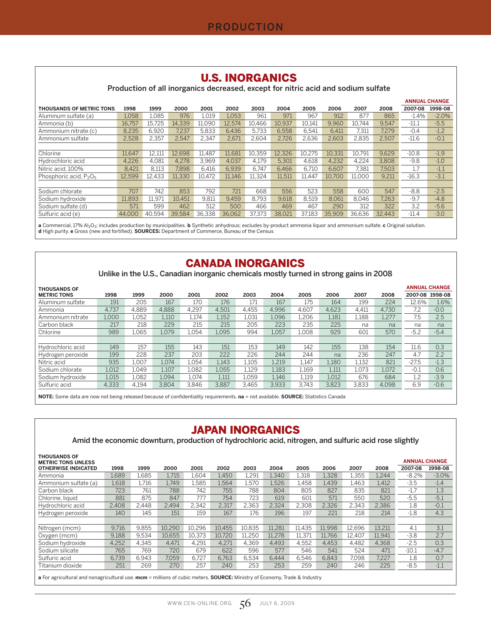#### U.S. INORGANICS

Production of all inorganics decreased, except for nitric acid and sodium sulfate

|                                                |        |        |        |        |        |        |        |        |        |        |        |         | <b>ANNUAL CHANGE</b> |
|------------------------------------------------|--------|--------|--------|--------|--------|--------|--------|--------|--------|--------|--------|---------|----------------------|
| <b>THOUSANDS OF METRIC TONS</b>                | 1998   | 1999   | 2000   | 2001   | 2002   | 2003   | 2004   | 2005   | 2006   | 2007   | 2008   | 2007-08 | 1998-08              |
| Aluminum sulfate (a)                           | 1.058  | 1.085  | 976    | 1.019  | 1.053  | 961    | 971    | 967    | 912    | 877    | 865    | $-1.4%$ | $-2.0%$              |
| Ammonia (b)                                    | 16.757 | 15.725 | 14.339 | 11.090 | 12.574 | 10.466 | 10.937 | 10.141 | 9.960  | 10.744 | 9.547  | $-11.1$ | $-5.5$               |
| Ammonium nitrate (c)                           | 8.235  | 6.920  | 7.237  | 5,833  | 6.436  | 5.733  | 6.558  | 6.541  | 6.411  | 7,311  | 7.279  | $-0.4$  | $-1.2$               |
| Ammonium sulfate                               | 2,528  | 2.357  | 2.547  | 2.347  | 2.671  | 2.604  | 2.726  | 2,636  | 2.603  | 2.835  | 2.507  | $-11.6$ | $-0.1$               |
|                                                |        |        |        |        |        |        |        |        |        |        |        |         |                      |
| Chlorine                                       | 11.647 | 12.111 | 12.698 | 11.487 | 11.681 | 10.359 | 12.326 | 10.275 | 10.331 | 10.791 | 9.629  | $-10.8$ | $-1.9$               |
| Hydrochloric acid                              | 4.226  | 4.081  | 4.278  | 3.969  | 4.037  | 4.179  | 5.301  | 4.618  | 4.232  | 4.224  | 3.808  | $-9.8$  | $-1.0$               |
| Nitric acid. 100%                              | 8.421  | 8,113  | 7.898  | 6.416  | 6,939  | 6.747  | 6.466  | 6.710  | 6.607  | 7.381  | 7,503  | 1.7     | $-1.1$               |
| Phosphoric acid, P <sub>2</sub> O <sub>5</sub> | 12.599 | 12.433 | 11.330 | 10.472 | 11.146 | 11.324 | 11.511 | 11.447 | 10.700 | 11.000 | 9.211  | $-16.3$ | $-3.1$               |
|                                                |        |        |        |        |        |        |        |        |        |        |        |         |                      |
| Sodium chlorate                                | 707    | 742    | 853    | 792    | 721    | 668    | 556    | 523    | 558    | 600    | 547    | $-8.8$  | $-2.5$               |
| Sodium hydroxide                               | 11.893 | 11.971 | 10.451 | 9.811  | 9.459  | 8.793  | 9.618  | 8.519  | 8.061  | 8.046  | 7.263  | $-9.7$  | $-4.8$               |
| Sodium sulfate (d)                             | 571    | 599    | 462    | 512    | 500    | 466    | 469    | 467    | 290    | 312    | 322    | 3.2     | $-5.6$               |
| Sulfuric acid (e)                              | 44,000 | 40.594 | 39.584 | 36.338 | 36.062 | 37.373 | 38.021 | 37.183 | 35.909 | 36.636 | 32.443 | $-11.4$ | $-3.0$               |

**a** Commercial, 17% Al<sub>2</sub>O<sub>3</sub>; includes production by municipalities. **b** Synthetic anhydrous; excludes by-product ammonia liquor and ammonium sulfate. **c** Original solution.<br>**d** High purity. **e** Gross (new and fortified).

#### CANADA INORGANICS

Unlike in the U.S., Canadian inorganic chemicals mostly turned in strong gains in 2008

| <b>THOUSANDS OF</b> |       |       |       |       |       |       |       |       |       |       |       |         | <b>ANNUAL CHANGE</b> |
|---------------------|-------|-------|-------|-------|-------|-------|-------|-------|-------|-------|-------|---------|----------------------|
| <b>METRIC TONS</b>  | 1998  | 1999  | 2000  | 2001  | 2002  | 2003  | 2004  | 2005  | 2006  | 2007  | 2008  |         | 2007-08 1998-08      |
| Aluminum sulfate    | 191   | 205   | 167   | 170   | 176   | 171   | 167   | 175   | 164   | 199   | 224   | 12.6%   | 1.6%                 |
| Ammonia             | 4.737 | 4.889 | 4.888 | 4.297 | 4.501 | 4.455 | 4.996 | 4.607 | 4.623 | 4.411 | 4.730 | 7.2     | $-0.0$               |
| Ammonium nitrate    | 1.000 | 1.052 | 1,110 | 1.174 | 1.152 | 1.031 | 1.096 | 1,206 | 1,181 | 1.188 | 1,277 | 7.5     | 2.5                  |
| Carbon black        | 217   | 218   | 229   | 215   | 215   | 205   | 223   | 235   | 225   | na    | na    | na      | na                   |
| Chlorine            | 989   | 1.065 | 1.079 | 1.054 | 1.095 | 994   | 1.057 | 1.008 | 929   | 601   | 570   | $-5.2$  | $-5.4$               |
|                     |       |       |       |       |       |       |       |       |       |       |       |         |                      |
| Hydrochloric acid   | 149   | 157   | 155   | 143   | 151   | 153   | 149   | 142   | 155   | 138   | 154   | 11.6    | 0.3                  |
| Hydrogen peroxide   | 199   | 228   | 237   | 203   | 222   | 226   | 244   | 244   | na    | 236   | 247   | 4.7     | 2.2                  |
| Nitric acid         | 935   | 1.007 | 1.074 | 1.054 | 1.143 | 1.105 | 1,219 | 1,147 | 1.180 | 1,132 | 821   | $-27.5$ | $-1.3$               |
| Sodium chlorate     | 1.012 | 1.049 | 1.107 | 1.082 | 1.055 | 1.129 | 1.183 | 1.169 | 1.111 | 1.073 | 1.072 | $-0.1$  | 0.6                  |
| Sodium hydroxide    | 1.015 | L082  | 1.094 | L.074 | 1.111 | 1.059 | 1.146 | 1,119 | 1.012 | 676   | 684   | 1.2     | $-3.9$               |
| Sulfuric acid       | 4,333 | 4,194 | 3.804 | 3.846 | 3,887 | 3.465 | 3,933 | 3.743 | 3,823 | 3,833 | 4,098 | 6.9     | $-0.6$               |

**NOTE:** Some data are now not being released because of confidentiality requirements. **na** = not available. **SOURCE:** Statistics Canada

### JAPAN INORGANICS

Amid the economic downturn, production of hydrochloric acid, nitrogen, and sulfuric acid rose slightly

|       |       |        |        |        |        |        |        |        |        |        |         | <b>ANNUAL CHANGE</b> |
|-------|-------|--------|--------|--------|--------|--------|--------|--------|--------|--------|---------|----------------------|
| 1998  | 1999  | 2000   | 2001   | 2002   | 2003   | 2004   | 2005   | 2006   | 2007   | 2008   | 2007-08 | 1998-08              |
| 1.689 | 1.685 | 1.715  | 1.604  | 1.450  | 1,291  | 1,340  | 1.318  | 1,328  | 1.355  | 1.244  | $-8.2%$ | $-3.0\%$             |
| 1,618 | 1.716 | 1.749  | 1.585  | 1.564  | 1,570  | 1.526  | 1.458  | 1.439  | 1.463  | 1.412  | $-3.5$  | $-1.4$               |
| 723   | 761   | 788    | 742    | 755    | 788    | 804    | 805    | 827    | 835    | 821    | $-1.7$  | 1.3                  |
| 881   | 875   | 847    | 777    | 754    | 723    | 619    | 601    | 571    | 550    | 520    | $-5.5$  | $-5.1$               |
| 2,408 | 2.448 | 2.494  | 2,342  | 2.317  | 2.363  | 2,324  | 2.308  | 2,326  | 2,343  | 2.386  | 1.8     | $-0.1$               |
| 140   | 145   | 151    | 159    | 167    | 176    | 196    | 197    | 221    | 218    | 214    | $-1.8$  | 4.3                  |
|       |       |        |        |        |        |        |        |        |        |        |         |                      |
| 9.716 | 9,855 | 10.290 | 10.296 | 10.455 | 10.835 | 11.281 | 11.435 | 11.998 | 12.696 | 13.211 | 4.1     | 3.1                  |
| 9.188 | 9,534 | 10.655 | 10.373 | 10.720 | 11.250 | 11.278 | 11.371 | 11.766 | 12.407 | 11.941 | $-3.8$  | 2.7                  |
| 4,252 | 4.345 | 4.471  | 4.291  | 4.271  | 4.369  | 4.493  | 4.552  | 4.453  | 4.482  | 4.368  | $-2.5$  | 0.3                  |
| 765   | 769   | 720    | 679    | 622    | 596    | 577    | 546    | 541    | 524    | 471    | $-10.1$ | $-4.7$               |
| 6.739 | 6,943 | 7.059  | 6.727  | 6.763  | 6.534  | 6,444  | 6.546  | 6.843  | 7.098  | 7.227  | 1.8     | 0.7                  |
| 251   | 269   | 270    | 257    | 240    | 253    | 253    | 259    | 240    | 246    | 225    | $-8.5$  | $-1.1$               |
|       |       |        |        |        |        |        |        |        |        |        |         |                      |

**a** For agricultural and nonagricultural use. **mcm** = millions of cubic meters. **SOURCE:** Ministry of Economy, Trade & Industry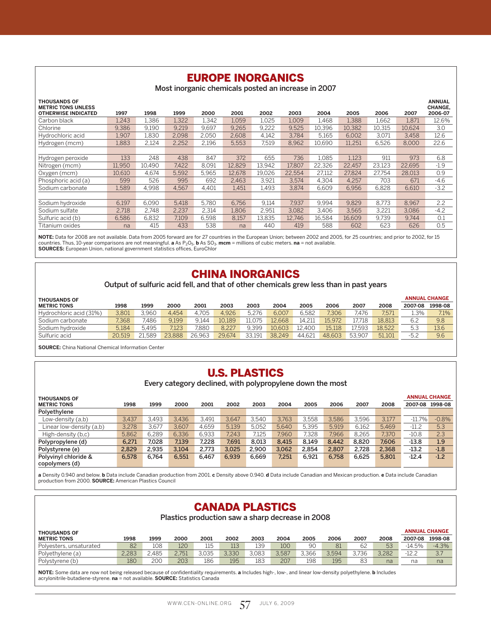# EUROPE INORGANICS

Most inorganic chemicals posted an increase in 2007

| <b>THOUSANDS OF</b><br><b>METRIC TONS UNLESS</b> |        |        |       |       |        |        |        |        |        |        |        | <b>ANNUAL</b><br><b>CHANGE.</b> |
|--------------------------------------------------|--------|--------|-------|-------|--------|--------|--------|--------|--------|--------|--------|---------------------------------|
| <b>OTHERWISE INDICATED</b>                       | 1997   | 1998   | 1999  | 2000  | 2001   | 2002   | 2003   | 2004   | 2005   | 2006   | 2007   | 2006-07                         |
| Carbon black                                     | 1.243  | .386   | 1.322 | 1.342 | 1.059  | 1.025  | 1.009  | 1.468  | 1.388  | 1.662  | 1.871  | 12.6%                           |
| Chlorine                                         | 9.386  | 9,190  | 9.219 | 9.697 | 9.265  | 9,222  | 9,525  | 10.396 | 10.382 | 10,315 | 10.624 | 3.0                             |
| Hydrochloric acid                                | 1,907  | 1,830  | 2,098 | 2,050 | 2.608  | 4,142  | 3.784  | 5,165  | 6,002  | 3.071  | 3,458  | 12.6                            |
| Hydrogen (mcm)                                   | 1,883  | 2,124  | 2,252 | 2,196 | 5,553  | 7,519  | 8,962  | 10,690 | 11,251 | 6,526  | 8,000  | 22.6                            |
|                                                  |        |        |       |       |        |        |        |        |        |        |        |                                 |
| Hydrogen peroxide                                | 133    | 248    | 438   | 847   | 372    | 655    | 736    | 1,085  | 1,123  | 911    | 973    | 6.8                             |
| Nitrogen (mcm)                                   | 11,950 | 10.490 | 7.422 | 8.091 | 12.829 | 13.942 | 17.807 | 22.326 | 22.457 | 23.123 | 22.695 | $-1.9$                          |
| Oxygen (mcm)                                     | 10,610 | 4.674  | 5.592 | 5.965 | 12.678 | 19.026 | 22.554 | 27,112 | 27,824 | 27.754 | 28,013 | 0.9                             |
| Phosphoric acid (a)                              | 599    | 526    | 995   | 692   | 2.463  | 3.921  | 3.574  | 4.304  | 4.257  | 703    | 671    | $-4.6$                          |
| Sodium carbonate                                 | 1.589  | 4.998  | 4.567 | 4,401 | 1.451  | 1.493  | 3.874  | 6.609  | 6.956  | 6.828  | 6,610  | $-3.2$                          |
|                                                  |        |        |       |       |        |        |        |        |        |        |        |                                 |
| Sodium hydroxide                                 | 6,197  | 6.090  | 5.418 | 5,780 | 6.756  | 9,114  | 7.937  | 9,994  | 9.829  | 8.773  | 8,967  | 2.2                             |
| Sodium sulfate                                   | 2.718  | 2.748  | 2.237 | 2,314 | 1.806  | 2,951  | 3.082  | 3,406  | 3.565  | 3.221  | 3.086  | $-4.2$                          |
| Sulfuric acid (b)                                | 6.586  | 6,832  | 7.109 | 6,598 | 8,157  | 13.835 | 12.746 | 16.584 | 16.609 | 9.739  | 9.744  | 0.1                             |
| Titanium oxides                                  | na     | 415    | 433   | 538   | na     | 440    | 419    | 588    | 602    | 623    | 626    | 0.5                             |

**NOTE:** Data for 2008 are not available. Data from 2005 forward are for 27 countries in the European Union; between 2002 and 2005, for 25 countries; and prior to 2002, for 15 countries. Thus, 10-year comparisons are not meaningful. **a** As P<sub>2</sub>O<sub>5</sub>. **b** As SO<sub>3</sub>. **mcm** = millions of cubic meters. **na** = not available.<br>**SOURCES:** European Union, national government statistics offices, EuroChlor

#### CHINA INORGANICS

Output of sulfuric acid fell, and that of other chemicals grew less than in past years

| <b>THOUSANDS OF</b>     |        |       |        |        |        |        |        |        |        |        |        |         | <b>ANNUAL CHANGE</b> |
|-------------------------|--------|-------|--------|--------|--------|--------|--------|--------|--------|--------|--------|---------|----------------------|
| <b>METRIC TONS</b>      | 1998   | 1999  | 2000   | 2001   | 2003   | 2003   | 2004   | 2005   | 2006   | 2007   | 2008   | 2007-08 | 1998-08              |
| Hydrochloric acid (31%) | 3.801  | 3.960 | 4.454  | 4.705  | 4.926  | 5.276  | 6.007  | 6.582  | 7.306  | 7.476  | 7.571  | 1.3%    | 7.1%                 |
| Sodium carbonate        | 7.368  | 486   | 9.199  | 9.144  | 10.189 | 11.075 | 12.668 | 14.211 | 15.972 | 17.718 | 18.813 | 6.2     | 9.8                  |
| Sodium hydroxide        | 5.184  | 5.495 | 7.123  | 7.880  | 8.227  | 9.399  | 10.603 | 12.400 | 15.118 | 7.593  | 18.522 | 5.3     | 13.6                 |
| Sulfuric acid           | 20.519 | .589  | 23.888 | 26.963 | 29.674 | 33.191 | 38.249 | 44.621 | 48.603 | 53.907 | 51.101 | $-5.2$  | 9.6                  |

**SOURCE:** China National Chemical Information Center

# U.S. PLASTICS

Every category declined, with polypropylene down the most

| <b>THOUSANDS OF</b>      |       |       |       |       |       |       |       |       |       |       |       |          | <b>ANNUAL CHANGE</b> |
|--------------------------|-------|-------|-------|-------|-------|-------|-------|-------|-------|-------|-------|----------|----------------------|
| <b>METRIC TONS</b>       | 1998  | 1999  | 2000  | 2001  | 2002  | 2003  | 2004  | 2005  | 2006  | 2007  | 2008  | 2007-08  | 1998-08              |
| Polyethylene             |       |       |       |       |       |       |       |       |       |       |       |          |                      |
| Low-density (a,b)        | 3.437 | 3.493 | 3.436 | 3.491 | 3.647 | 3.540 | 3.763 | 3.558 | 3.586 | 3.596 | 3.177 | $-11.7%$ | $-0.8%$              |
| Linear low-density (a,b) | 3.278 | 3.677 | 3.607 | 4.659 | 5.139 | 5.052 | 5.640 | 5.395 | 5.919 | 6.162 | 5.469 | $-11.2$  | 5.3                  |
| High-density (b,c)       | 5.862 | 6.289 | 6.336 | 6.933 | 7.243 | 7.125 | 7.960 | 7.328 | 7.966 | 8.265 | 7.370 | $-10.8$  | 2.3                  |
| Polypropylene (d)        | 6.271 | 7.028 | 7.139 | 7.228 | 7.691 | 8.013 | 8.415 | 8.149 | 8.442 | 8.820 | 7.606 | $-13.8$  | 1.9                  |
| Polystyrene (e)          | 2.829 | 2.935 | 3.104 | 2.773 | 3,025 | 2.900 | 3.062 | 2.854 | 2.807 | 2.728 | 2,368 | $-13.2$  | $-1.8$               |
| Polyvinyl chloride &     | 6.578 | 6.764 | 6,551 | 6.467 | 6.939 | 6.669 | 7.251 | 6.921 | 6.758 | 6.625 | 5.801 | $-12.4$  | $-1.2$               |
| copolymers (d)           |       |       |       |       |       |       |       |       |       |       |       |          |                      |

**a** Density 0.940 and below. **b** Data include Canadian production from 2001. **c** Density above 0.940. **d** Data include Canadian and Mexican production. **e** Data include Canadian production from 2000. **SOURCE:** American Plastics Council

### CANADA PLASTICS

Plastics production saw a sharp decrease in 2008

| <b>THOUSANDS OF</b>     |       |       |       |       |       |       |       |       |       |       |       |          | <b>ANNUAL CHANGE</b> |
|-------------------------|-------|-------|-------|-------|-------|-------|-------|-------|-------|-------|-------|----------|----------------------|
| <b>METRIC TONS</b>      | 1998  | 1999  | 2000  | 2001  | 2002  | 2003  | 2004  | 2005  | 2006  | 2007  | 2008  | 2007-08  | 1998-08              |
| Polyesters, unsaturated | 82    | 108   | 120   | 115   | 113   | 139   | 100   | 90    | 81    | 62    | 53    | $-14.5%$ | $-4.3%$              |
| Polyethylene (a)        | 2.283 | 2.485 | 2.751 | 3.035 | 3.330 | 3.083 | 3.587 | 3.366 | 3.594 | 3.736 | 3.282 | $-12.2$  | 3.7                  |
| Polystyrene (b)         | 180   | 200   | 203   | 186   | 195   | 183   | 207   | 198   | 195   | 83    | na    | na       | na                   |

**NOTE:** Some data are now not being released because of confidentiality requirements. **a** Includes high-, low-, and linear low-density polyethylene. **b** Includes acrylonitrile-butadiene-styrene. **na** = not available. **SOURCE:** Statistics Canada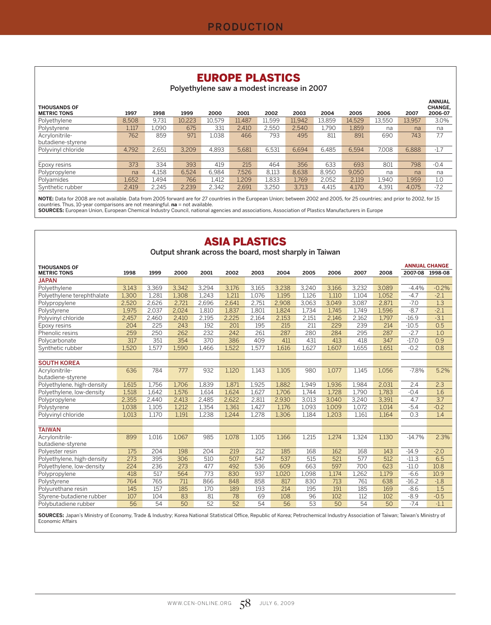## EUROPE PLASTICS

Polyethylene saw a modest increase in 2007

| <b>THOUSANDS OF</b> |       |       |        |        |        |        |        |        |        |        |        | <b>ANNUAL</b><br><b>CHANGE.</b> |
|---------------------|-------|-------|--------|--------|--------|--------|--------|--------|--------|--------|--------|---------------------------------|
| <b>METRIC TONS</b>  | 1997  | 1998  | 1999   | 2000   | 2001   | 2002   | 2003   | 2004   | 2005   | 2006   | 2007   | 2006-07                         |
| Polyethylene        | 8.508 | 9.731 | 10.223 | 10.579 | 11.487 | 11.599 | 11.942 | 13,859 | 14.529 | 13.550 | 13.957 | 3.0%                            |
| Polystyrene         | 1,117 | 1.090 | 675    | 331    | 2.410  | 2.550  | 2.540  | l.790  | 1.859  | na     | na     | na                              |
| Acrylonitrile-      | 762   | 859   | 971    | 1.038  | 466    | 793    | 495    | 811    | 891    | 690    | 743    | 7.7                             |
| butadiene-styrene   |       |       |        |        |        |        |        |        |        |        |        |                                 |
| Polyvinyl chloride  | 4,792 | 2.651 | 3.209  | 4.893  | 5.681  | 6.531  | 6.694  | 6.485  | 6.594  | 7.008  | 6,888  | $-1.7$                          |
|                     |       |       |        |        |        |        |        |        |        |        |        |                                 |
| Epoxy resins        | 373   | 334   | 393    | 419    | 215    | 464    | 356    | 633    | 693    | 801    | 798    | $-0.4$                          |
| Polypropylene       | na    | 4.158 | 6.524  | 6.984  | 7.526  | 8.113  | 8.638  | 8.950  | 9.050  | na     | na     | na                              |
| Polyamides          | 1,652 | 1.494 | 766    | 1.412  | 1,209  | 1,833  | 1,769  | 2.052  | 2.119  | 1.940  | 1,959  | 1.0                             |
| Synthetic rubber    | 2.419 | 2,245 | 2,239  | 2.342  | 2.691  | 3,250  | 3.713  | 4.415  | 4.170  | 4.391  | 4.075  | $-7.2$                          |

**NOTE:** Data for 2008 are not available. Data from 2005 forward are for 27 countries in the European Union; between 2002 and 2005, for 25 countries; and prior to 2002, for 15<br>countries. Thus, 10-year comparisons are not me

#### ASIA PLASTICS

Output shrank across the board, most sharply in Taiwan

| <b>THOUSANDS OF</b>                 |       |       |       |       |       |       |       |       |       |       |       |          | <b>ANNUAL CHANGE</b> |
|-------------------------------------|-------|-------|-------|-------|-------|-------|-------|-------|-------|-------|-------|----------|----------------------|
| <b>METRIC TONS</b>                  | 1998  | 1999  | 2000  | 2001  | 2002  | 2003  | 2004  | 2005  | 2006  | 2007  | 2008  |          | 2007-08 1998-08      |
| <b>JAPAN</b>                        |       |       |       |       |       |       |       |       |       |       |       |          |                      |
| Polyethylene                        | 3.143 | 3,369 | 3,342 | 3,294 | 3,176 | 3,165 | 3.238 | 3,240 | 3,166 | 3,232 | 3.089 | $-4.4%$  | $-0.2%$              |
| Polyethylene terephthalate          | 1,300 | 1,281 | 1,308 | 1,243 | 1,211 | 1,076 | 1,195 | 1,126 | 1,110 | 1,104 | 1,052 | $-4.7$   | $-2.1$               |
| Polypropylene                       | 2,520 | 2,626 | 2.721 | 2,696 | 2.641 | 2.751 | 2.908 | 3,063 | 3.049 | 3.087 | 2,871 | $-7.0$   | 1.3                  |
| Polystyrene                         | 1,975 | 2,037 | 2,024 | 1,810 | 1,837 | 1,801 | 1.824 | 1,734 | 1,745 | 1.749 | 1,596 | $-8.7$   | $-2.1$               |
| Polyvinyl chloride                  | 2,457 | 2,460 | 2,410 | 2,195 | 2,225 | 2,164 | 2,153 | 2,151 | 2,146 | 2,162 | 1,797 | $-16.9$  | $-3.1$               |
| Epoxy resins                        | 204   | 225   | 243   | 192   | 201   | 195   | 215   | 211   | 229   | 239   | 214   | $-10.5$  | 0.5                  |
| Phenolic resins                     | 259   | 250   | 262   | 232   | 242   | 261   | 287   | 280   | 284   | 295   | 287   | $-2.7$   | 1.0                  |
| Polycarbonate                       | 317   | 351   | 354   | 370   | 386   | 409   | 411   | 431   | 413   | 418   | 347   | $-17.0$  | 0.9                  |
| Synthetic rubber                    | 1,520 | 1,577 | 1.590 | 1,466 | 1,522 | 1,577 | 1,616 | 1,627 | 1,607 | 1,655 | 1,651 | $-0.2$   | 0.8                  |
|                                     |       |       |       |       |       |       |       |       |       |       |       |          |                      |
| <b>SOUTH KOREA</b>                  |       |       |       |       |       |       |       |       |       |       |       |          |                      |
| Acrylonitrile-<br>butadiene-styrene | 636   | 784   | 777   | 932   | 1,120 | 1,143 | 1,105 | 980   | 1,077 | 1,145 | 1,056 | $-7.8%$  | 5.2%                 |
| Polyethylene, high-density          | 1.615 | 1.756 | 1.706 | 1,839 | 1.871 | 1.925 | 1.882 | 1.949 | 1.936 | 1.984 | 2.031 | 2.4      | 2.3                  |
| Polyethylene, low-density           | 1,518 | 1,642 | 1,576 | 1,614 | 1,624 | 1,627 | 1,706 | 1,744 | 1,728 | 1,790 | 1,783 | $-0.4$   | 1.6                  |
| Polypropylene                       | 2,355 | 2,440 | 2,413 | 2,485 | 2,622 | 2,811 | 2,930 | 3,013 | 3,040 | 3,240 | 3,391 | 4.7      | 3.7                  |
| Polystyrene                         | 1,038 | 1,105 | 1,212 | 1,354 | 1,361 | 1,427 | 1.176 | 1,093 | 1,009 | 1,072 | 1,014 | $-5.4$   | $-0.2$               |
| Polyvinyl chloride                  | 1,013 | 1.170 | 1.191 | 1.238 | 1.244 | 1.278 | 1,306 | 1,184 | 1,203 | 1.161 | 1,164 | 0.3      | 1.4                  |
|                                     |       |       |       |       |       |       |       |       |       |       |       |          |                      |
| <b>TAIWAN</b>                       |       |       |       |       |       |       |       |       |       |       |       |          |                      |
| Acrylonitrile-<br>butadiene-styrene | 899   | 1,016 | 1,067 | 985   | 1,078 | 1,105 | 1,166 | 1,215 | 1,274 | 1,324 | 1,130 | $-14.7%$ | 2.3%                 |
| Polyester resin                     | 175   | 204   | 198   | 204   | 219   | 212   | 185   | 168   | 162   | 168   | 143   | $-14.9$  | $-2.0$               |
| Polyethylene, high-density          | 273   | 395   | 306   | 510   | 507   | 547   | 537   | 515   | 521   | 577   | 512   | $-11.3$  | 6.5                  |
| Polyethylene, low-density           | 224   | 236   | 273   | 477   | 492   | 536   | 609   | 663   | 597   | 700   | 623   | $-11.0$  | 10.8                 |
| Polypropylene                       | 418   | 517   | 564   | 773   | 830   | 937   | 1,020 | 1,098 | 1,174 | 1,262 | 1.179 | $-6.6$   | 10.9                 |
| Polystyrene                         | 764   | 765   | 711   | 866   | 848   | 858   | 817   | 830   | 713   | 761   | 638   | $-16.2$  | $-1.8$               |
| Polyurethane resin                  | 145   | 157   | 185   | 170   | 189   | 193   | 214   | 195   | 191   | 185   | 169   | $-8.6$   | 1.5                  |
| Styrene-butadiene rubber            | 107   | 104   | 83    | 81    | 78    | 69    | 108   | 96    | 102   | 112   | 102   | $-8.9$   | $-0.5$               |
| Polybutadiene rubber                | 56    | 54    | 50    | 52    | 52    | 54    | 56    | 53    | 50    | 54    | 50    | $-7.4$   | $-1.1$               |

**SOURCES:** Japan's Ministry of Economy, Trade & Industry; Korea National Statistical Office, Republic of Korea; Petrochemical Industry Association of Taiwan; Taiwan's Ministry of Economic Affairs